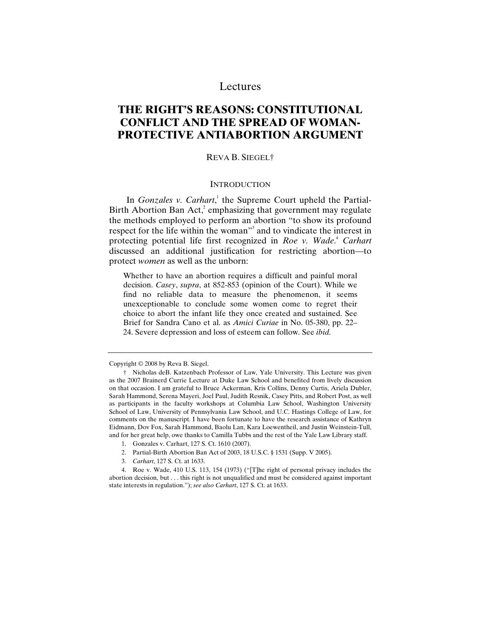# Lectures

# **THE RIGHT'S REASONS: CONSTITUTIONAL CONFLICT AND THE SPREAD OF WOMAN-PROTECTIVE ANTIABORTION ARGUMENT**

#### REVA B. SIEGEL†

#### **INTRODUCTION**

In *Gonzales v. Carhart*,<sup>1</sup> the Supreme Court upheld the Partial-Birth Abortion Ban Act,<sup>2</sup> emphasizing that government may regulate the methods employed to perform an abortion "to show its profound respect for the life within the woman"<sup>3</sup> and to vindicate the interest in protecting potential life first recognized in *Roe v. Wade*. 4 *Carhart* discussed an additional justification for restricting abortion—to protect *women* as well as the unborn:

Whether to have an abortion requires a difficult and painful moral decision. *Casey*, *supra*, at 852-853 (opinion of the Court). While we find no reliable data to measure the phenomenon, it seems unexceptionable to conclude some women come to regret their choice to abort the infant life they once created and sustained. See Brief for Sandra Cano et al. as *Amici Curiae* in No. 05-380, pp. 22– 24. Severe depression and loss of esteem can follow. See *ibid.* 

- 2. Partial-Birth Abortion Ban Act of 2003, 18 U.S.C. § 1531 (Supp. V 2005).
- 3*. Carhart*, 127 S. Ct. at 1633.

Copyright © 2008 by Reva B. Siegel.

 <sup>†</sup> Nicholas deB. Katzenbach Professor of Law, Yale University. This Lecture was given as the 2007 Brainerd Currie Lecture at Duke Law School and benefited from lively discussion on that occasion. I am grateful to Bruce Ackerman, Kris Collins, Denny Curtis, Ariela Dubler, Sarah Hammond, Serena Mayeri, Joel Paul, Judith Resnik, Casey Pitts, and Robert Post, as well as participants in the faculty workshops at Columbia Law School, Washington University School of Law, University of Pennsylvania Law School, and U.C. Hastings College of Law, for comments on the manuscript. I have been fortunate to have the research assistance of Kathryn Eidmann, Dov Fox, Sarah Hammond, Baolu Lan, Kara Loewentheil, and Justin Weinstein-Tull, and for her great help, owe thanks to Camilla Tubbs and the rest of the Yale Law Library staff.

 <sup>1.</sup> Gonzales v. Carhart, 127 S. Ct. 1610 (2007).

 <sup>4.</sup> Roe v. Wade, 410 U.S. 113, 154 (1973) ("[T]he right of personal privacy includes the abortion decision, but . . . this right is not unqualified and must be considered against important state interests in regulation."); *see also Carhart*, 127 S. Ct. at 1633.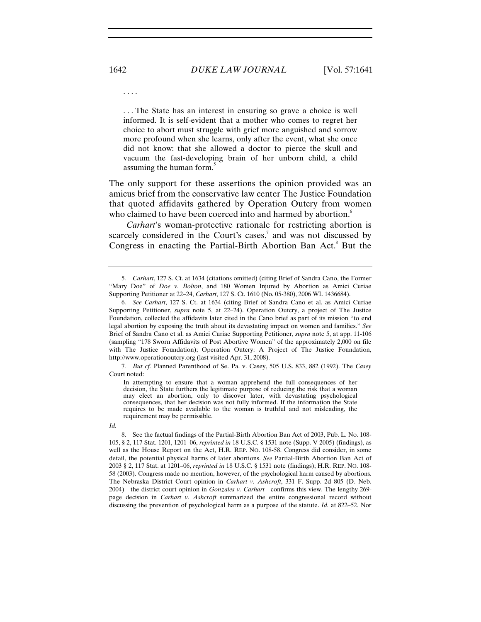. . . .

. . . The State has an interest in ensuring so grave a choice is well informed. It is self-evident that a mother who comes to regret her choice to abort must struggle with grief more anguished and sorrow more profound when she learns, only after the event, what she once did not know: that she allowed a doctor to pierce the skull and vacuum the fast-developing brain of her unborn child, a child assuming the human form.<sup>3</sup>

The only support for these assertions the opinion provided was an amicus brief from the conservative law center The Justice Foundation that quoted affidavits gathered by Operation Outcry from women who claimed to have been coerced into and harmed by abortion.<sup>6</sup>

*Carhart*'s woman-protective rationale for restricting abortion is scarcely considered in the Court's cases,<sup>7</sup> and was not discussed by Congress in enacting the Partial-Birth Abortion Ban Act.<sup>8</sup> But the

7*. But cf.* Planned Parenthood of Se. Pa. v. Casey, 505 U.S. 833, 882 (1992). The *Casey* Court noted:

In attempting to ensure that a woman apprehend the full consequences of her decision, the State furthers the legitimate purpose of reducing the risk that a woman may elect an abortion, only to discover later, with devastating psychological consequences, that her decision was not fully informed. If the information the State requires to be made available to the woman is truthful and not misleading, the requirement may be permissible.

*Id.*

<sup>5</sup>*. Carhart*, 127 S. Ct. at 1634 (citations omitted) (citing Brief of Sandra Cano, the Former "Mary Doe" of *Doe v. Bolton*, and 180 Women Injured by Abortion as Amici Curiae Supporting Petitioner at 22–24, *Carhart*, 127 S. Ct. 1610 (No. 05-380), 2006 WL 1436684).

<sup>6</sup>*. See Carhart*, 127 S. Ct. at 1634 (citing Brief of Sandra Cano et al. as Amici Curiae Supporting Petitioner, *supra* note 5, at 22–24). Operation Outcry, a project of The Justice Foundation, collected the affidavits later cited in the Cano brief as part of its mission "to end legal abortion by exposing the truth about its devastating impact on women and families." *See* Brief of Sandra Cano et al. as Amici Curiae Supporting Petitioner, *supra* note 5, at app. 11-106 (sampling "178 Sworn Affidavits of Post Abortive Women" of the approximately 2,000 on file with The Justice Foundation); Operation Outcry: A Project of The Justice Foundation, http://www.operationoutcry.org (last visited Apr. 31, 2008).

 <sup>8.</sup> See the factual findings of the Partial-Birth Abortion Ban Act of 2003, Pub. L. No. 108- 105, § 2, 117 Stat. 1201, 1201–06, *reprinted in* 18 U.S.C. § 1531 note (Supp. V 2005) (findings), as well as the House Report on the Act, H.R. REP. NO. 108-58. Congress did consider, in some detail, the potential physical harms of later abortions. *See* Partial-Birth Abortion Ban Act of 2003 § 2, 117 Stat. at 1201–06, *reprinted in* 18 U.S.C. § 1531 note (findings); H.R. REP. NO. 108- 58 (2003). Congress made no mention, however, of the psychological harm caused by abortions. The Nebraska District Court opinion in *Carhart v. Ashcroft*, 331 F. Supp. 2d 805 (D. Neb. 2004)—the district court opinion in *Gonzales v. Carhart*—confirms this view. The lengthy 269 page decision in *Carhart v. Ashcroft* summarized the entire congressional record without discussing the prevention of psychological harm as a purpose of the statute. *Id.* at 822–52. Nor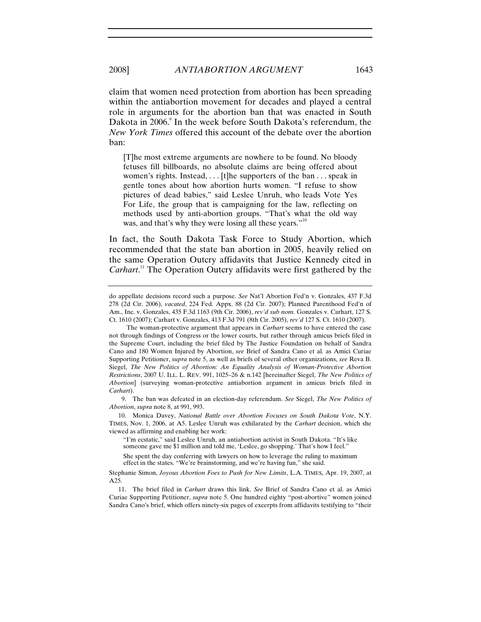claim that women need protection from abortion has been spreading within the antiabortion movement for decades and played a central role in arguments for the abortion ban that was enacted in South Dakota in 2006.<sup>9</sup> In the week before South Dakota's referendum, the *New York Times* offered this account of the debate over the abortion ban:

[T]he most extreme arguments are nowhere to be found. No bloody fetuses fill billboards, no absolute claims are being offered about women's rights. Instead, . . . [t]he supporters of the ban . . . speak in gentle tones about how abortion hurts women. "I refuse to show pictures of dead babies," said Leslee Unruh, who leads Vote Yes For Life, the group that is campaigning for the law, reflecting on methods used by anti-abortion groups. "That's what the old way was, and that's why they were losing all these years."<sup>10</sup>

In fact, the South Dakota Task Force to Study Abortion, which recommended that the state ban abortion in 2005, heavily relied on the same Operation Outcry affidavits that Justice Kennedy cited in Carhart.<sup>11</sup> The Operation Outcry affidavits were first gathered by the

 9. The ban was defeated in an election-day referendum. *See* Siegel, *The New Politics of Abortion*, *supra* note 8, at 991, 993.

do appellate decisions record such a purpose. *See* Nat'l Abortion Fed'n v. Gonzales, 437 F.3d 278 (2d Cir. 2006), *vacated*, 224 Fed. Appx. 88 (2d Cir. 2007); Planned Parenthood Fed'n of Am., Inc. v. Gonzales, 435 F.3d 1163 (9th Cir. 2006), *rev'd sub nom.* Gonzales v. Carhart, 127 S. Ct. 1610 (2007); Carhart v. Gonzales, 413 F.3d 791 (8th Cir. 2005), *rev'd* 127 S. Ct. 1610 (2007).

The woman-protective argument that appears in *Carhart* seems to have entered the case not through findings of Congress or the lower courts, but rather through amicus briefs filed in the Supreme Court, including the brief filed by The Justice Foundation on behalf of Sandra Cano and 180 Women Injured by Abortion, *see* Brief of Sandra Cano et al. as Amici Curiae Supporting Petitioner, *supra* note 5, as well as briefs of several other organizations, *see* Reva B. Siegel, *The New Politics of Abortion: An Equality Analysis of Woman-Protective Abortion Restrictions*, 2007 U. ILL. L. REV. 991, 1025–26 & n.142 [hereinafter Siegel, *The New Politics of Abortion*] (surveying woman-protective antiabortion argument in amicus briefs filed in *Carhart*).

 <sup>10.</sup> Monica Davey, *National Battle over Abortion Focuses on South Dakota Vote*, N.Y. TIMES, Nov. 1, 2006, at A5. Leslee Unruh was exhilarated by the *Carhart* decision, which she viewed as affirming and enabling her work:

<sup>&</sup>quot;I'm ecstatic," said Leslee Unruh, an antiabortion activist in South Dakota. "It's like someone gave me \$1 million and told me, 'Leslee, go shopping.' That's how I feel."

She spent the day conferring with lawyers on how to leverage the ruling to maximum effect in the states. "We're brainstorming, and we're having fun," she said.

Stephanie Simon, *Joyous Abortion Foes to Push for New Limits*, L.A. TIMES, Apr. 19, 2007, at A25.

 <sup>11.</sup> The brief filed in *Carhart* draws this link. *See* Brief of Sandra Cano et al. as Amici Curiae Supporting Petitioner, *supra* note 5. One hundred eighty "post-abortive" women joined Sandra Cano's brief, which offers ninety-six pages of excerpts from affidavits testifying to "their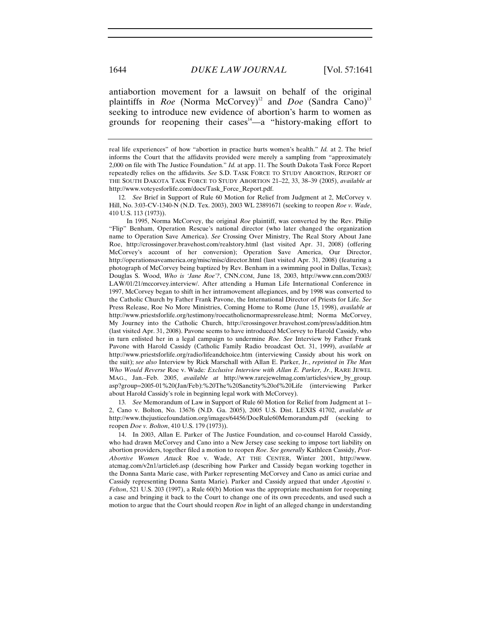antiabortion movement for a lawsuit on behalf of the original plaintiffs in *Roe* (Norma McCorvey)<sup>12</sup> and *Doe* (Sandra Cano)<sup>13</sup> seeking to introduce new evidence of abortion's harm to women as grounds for reopening their cases<sup>14</sup>—a "history-making effort to

In 1995, Norma McCorvey, the original *Roe* plaintiff, was converted by the Rev. Philip "Flip" Benham, Operation Rescue's national director (who later changed the organization name to Operation Save America). *See* Crossing Over Ministry, The Real Story About Jane Roe, http://crossingover.bravehost.com/realstory.html (last visited Apr. 31, 2008) (offering McCorvey's account of her conversion); Operation Save America, Our Director, http://operationsaveamerica.org/misc/misc/director.html (last visited Apr. 31, 2008) (featuring a photograph of McCorvey being baptized by Rev. Benham in a swimming pool in Dallas, Texas); Douglas S. Wood, *Who is 'Jane Roe'?*, CNN.COM, June 18, 2003, http://www.cnn.com/2003/ LAW/01/21/mccorvey.interview/. After attending a Human Life International Conference in 1997, McCorvey began to shift in her intramovement allegiances, and by 1998 was converted to the Catholic Church by Father Frank Pavone, the International Director of Priests for Life. *See* Press Release, Roe No More Ministries, Coming Home to Rome (June 15, 1998), *available at* http://www.priestsforlife.org/testimony/roecatholicnormapressrelease.html; Norma McCorvey, My Journey into the Catholic Church, http://crossingover.bravehost.com/press/addition.htm (last visited Apr. 31, 2008). Pavone seems to have introduced McCorvey to Harold Cassidy, who in turn enlisted her in a legal campaign to undermine *Roe*. *See* Interview by Father Frank Pavone with Harold Cassidy (Catholic Family Radio broadcast Oct. 31, 1999), *available at* http://www.priestsforlife.org/radio/lifeandchoice.htm (interviewing Cassidy about his work on the suit); *see also* Interview by Rick Marschall with Allan E. Parker, Jr., *reprinted in The Man Who Would Reverse* Roe v. Wade*: Exclusive Interview with Allan E. Parker, Jr.*, RARE JEWEL MAG., Jan.–Feb. 2005, *available at* http://www.rarejewelmag.com/articles/view\_by\_group. asp?group=2005-01%20(Jan/Feb):%20The%20Sanctity%20of%20Life (interviewing Parker about Harold Cassidy's role in beginning legal work with McCorvey).

13*. See* Memorandum of Law in Support of Rule 60 Motion for Relief from Judgment at 1– 2, Cano v. Bolton, No. 13676 (N.D. Ga. 2005), 2005 U.S. Dist. LEXIS 41702, *available at* http://www.thejusticefoundation.org/images/64456/DoeRule60Memorandum.pdf (seeking to reopen *Doe v. Bolton*, 410 U.S. 179 (1973)).

 14. In 2003, Allan E. Parker of The Justice Foundation, and co-counsel Harold Cassidy, who had drawn McCorvey and Cano into a New Jersey case seeking to impose tort liability on abortion providers, together filed a motion to reopen *Roe*. *See generally* Kathleen Cassidy, *Post-Abortive Women Attack* Roe v. Wade, AT THE CENTER, Winter 2001, http://www. atcmag.com/v2n1/article6.asp (describing how Parker and Cassidy began working together in the Donna Santa Marie case, with Parker representing McCorvey and Cano as amici curiae and Cassidy representing Donna Santa Marie). Parker and Cassidy argued that under *Agostini v. Felton*, 521 U.S. 203 (1997), a Rule 60(b) Motion was the appropriate mechanism for reopening a case and bringing it back to the Court to change one of its own precedents, and used such a motion to argue that the Court should reopen *Roe* in light of an alleged change in understanding

real life experiences" of how "abortion in practice hurts women's health." *Id.* at 2. The brief informs the Court that the affidavits provided were merely a sampling from "approximately 2,000 on file with The Justice Foundation." *Id.* at app. 11. The South Dakota Task Force Report repeatedly relies on the affidavits. *See* S.D. TASK FORCE TO STUDY ABORTION, REPORT OF THE SOUTH DAKOTA TASK FORCE TO STUDY ABORTION 21–22, 33, 38–39 (2005), *available at* http://www.voteyesforlife.com/docs/Task\_Force\_Report.pdf.

<sup>12</sup>*. See* Brief in Support of Rule 60 Motion for Relief from Judgment at 2, McCorvey v. Hill, No. 3:03-CV-1340-N (N.D. Tex. 2003), 2003 WL 23891671 (seeking to reopen *Roe v. Wade*, 410 U.S. 113 (1973)).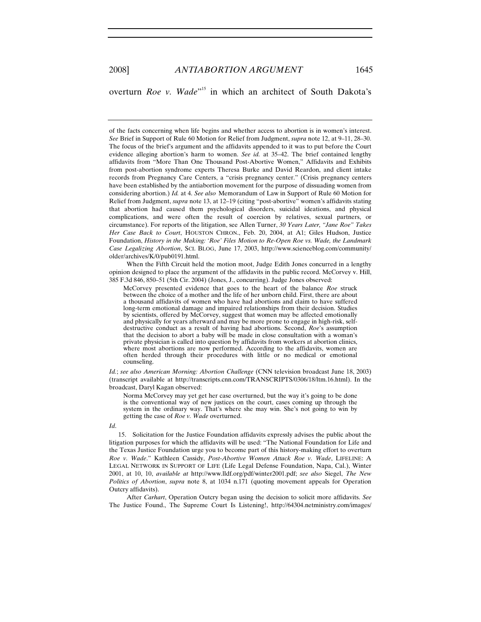of the facts concerning when life begins and whether access to abortion is in women's interest. *See* Brief in Support of Rule 60 Motion for Relief from Judgment, *supra* note 12, at 9–11, 28–30. The focus of the brief's argument and the affidavits appended to it was to put before the Court evidence alleging abortion's harm to women. *See id.* at 35–42. The brief contained lengthy affidavits from "More Than One Thousand Post-Abortive Women," Affidavits and Exhibits from post-abortion syndrome experts Theresa Burke and David Reardon, and client intake records from Pregnancy Care Centers, a "crisis pregnancy center." (Crisis pregnancy centers have been established by the antiabortion movement for the purpose of dissuading women from considering abortion.) *Id.* at 4. *See also* Memorandum of Law in Support of Rule 60 Motion for Relief from Judgment, *supra* note 13, at 12–19 (citing "post-abortive" women's affidavits stating that abortion had caused them psychological disorders, suicidal ideations, and physical complications, and were often the result of coercion by relatives, sexual partners, or circumstance). For reports of the litigation, see Allen Turner, *30 Years Later, "Jane Roe" Takes Her Case Back to Court*, HOUSTON CHRON., Feb. 20, 2004, at A1; Giles Hudson, Justice Foundation, *History in the Making: 'Roe' Files Motion to Re-Open Roe vs. Wade, the Landmark Case Legalizing Abortion*, SCI. BLOG, June 17, 2003, http://www.scienceblog.com/community/ older/archives/K/0/pub0191.html.

When the Fifth Circuit held the motion moot, Judge Edith Jones concurred in a lengthy opinion designed to place the argument of the affidavits in the public record. McCorvey v. Hill, 385 F.3d 846, 850–51 (5th Cir. 2004) (Jones, J., concurring). Judge Jones observed:

McCorvey presented evidence that goes to the heart of the balance *Roe* struck between the choice of a mother and the life of her unborn child. First, there are about a thousand affidavits of women who have had abortions and claim to have suffered long-term emotional damage and impaired relationships from their decision. Studies by scientists, offered by McCorvey, suggest that women may be affected emotionally and physically for years afterward and may be more prone to engage in high-risk, selfdestructive conduct as a result of having had abortions. Second, *Roe*'s assumption that the decision to abort a baby will be made in close consultation with a woman's private physician is called into question by affidavits from workers at abortion clinics, where most abortions are now performed. According to the affidavits, women are often herded through their procedures with little or no medical or emotional counseling.

*Id.*; *see also American Morning: Abortion Challenge* (CNN television broadcast June 18, 2003) (transcript available at http://transcripts.cnn.com/TRANSCRIPTS/0306/18/ltm.16.html). In the broadcast, Daryl Kagan observed:

Norma McCorvey may yet get her case overturned, but the way it's going to be done is the conventional way of new justices on the court, cases coming up through the system in the ordinary way. That's where she may win. She's not going to win by getting the case of *Roe v. Wade* overturned.

#### *Id*.

 15. Solicitation for the Justice Foundation affidavits expressly advises the public about the litigation purposes for which the affidavits will be used: "The National Foundation for Life and the Texas Justice Foundation urge you to become part of this history-making effort to overturn *Roe v. Wade*." Kathleen Cassidy, *Post-Abortive Women Attack Roe v. Wade*, LIFELINE: A LEGAL NETWORK IN SUPPORT OF LIFE (Life Legal Defense Foundation, Napa, Cal.), Winter 2001, at 10, 10, *available at* http://www.lldf.org/pdf/winter2001.pdf; *see also* Siegel, *The New Politics of Abortion*, *supra* note 8, at 1034 n.171 (quoting movement appeals for Operation Outcry affidavits).

After *Carhart*, Operation Outcry began using the decision to solicit more affidavits. *See* The Justice Found., The Supreme Court Is Listening!, http://64304.netministry.com/images/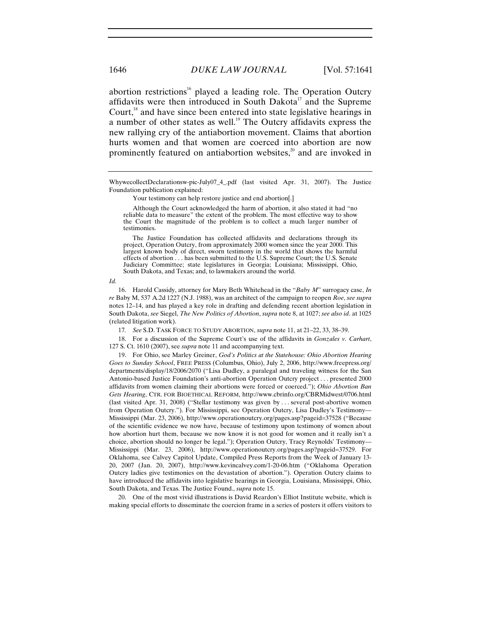abortion restrictions<sup>16</sup> played a leading role. The Operation Outcry affidavits were then introduced in South Dakota<sup>17</sup> and the Supreme Court, $18$  and have since been entered into state legislative hearings in a number of other states as well.<sup>19</sup> The Outcry affidavits express the new rallying cry of the antiabortion movement. Claims that abortion hurts women and that women are coerced into abortion are now prominently featured on antiabortion websites, $2^{\circ}$  and are invoked in

WhywecollectDeclarationsw-pic-July07\_4\_.pdf (last visited Apr. 31, 2007). The Justice Foundation publication explained:

Your testimony can help restore justice and end abortion[.]

 Although the Court acknowledged the harm of abortion, it also stated it had "no reliable data to measure" the extent of the problem. The most effective way to show the Court the magnitude of the problem is to collect a much larger number of testimonies.

 The Justice Foundation has collected affidavits and declarations through its project, Operation Outcry, from approximately 2000 women since the year 2000. This largest known body of direct, sworn testimony in the world that shows the harmful effects of abortion . . . has been submitted to the U.S. Supreme Court; the U.S. Senate Judiciary Committee; state legislatures in Georgia; Louisiana; Mississippi, Ohio, South Dakota, and Texas; and, to lawmakers around the world.

*Id.*

 16. Harold Cassidy, attorney for Mary Beth Whitehead in the "*Baby M*" surrogacy case, *In re* Baby M, 537 A.2d 1227 (N.J. 1988), was an architect of the campaign to reopen *Roe*, *see supra* notes 12–14, and has played a key role in drafting and defending recent abortion legislation in South Dakota, *see* Siegel, *The New Politics of Abortion*, *supra* note 8, at 1027; *see also id*. at 1025 (related litigation work).

17*. See* S.D. TASK FORCE TO STUDY ABORTION, *supra* note 11, at 21–22, 33, 38–39.

 18. For a discussion of the Supreme Court's use of the affidavits in *Gonzales v. Carhart*, 127 S. Ct. 1610 (2007), see *supra* note 11 and accompanying text.

 19. For Ohio, see Marley Greiner, *God's Politics at the Statehouse: Ohio Abortion Hearing Goes to Sunday School*, FREE PRESS (Columbus, Ohio), July 2, 2006, http://www.freepress.org/ departments/display/18/2006/2070 ("Lisa Dudley, a paralegal and traveling witness for the San Antonio-based Justice Foundation's anti-abortion Operation Outcry project . . . presented 2000 affidavits from women claiming their abortions were forced or coerced."); *Ohio Abortion Ban Gets Hearing*, CTR. FOR BIOETHICAL REFORM, http://www.cbrinfo.org/CBRMidwest/0706.html (last visited Apr. 31, 2008) ("Stellar testimony was given by . . . several post-abortive women from Operation Outcry."). For Mississippi, see Operation Outcry, Lisa Dudley's Testimony— Mississippi (Mar. 23, 2006), http://www.operationoutcry.org/pages.asp?pageid=37528 ("Because of the scientific evidence we now have, because of testimony upon testimony of women about how abortion hurt them, because we now know it is not good for women and it really isn't a choice, abortion should no longer be legal."); Operation Outcry, Tracy Reynolds' Testimony— Mississippi (Mar. 23, 2006), http://www.operationoutcry.org/pages.asp?pageid=37529. For Oklahoma, see Calvey Capitol Update, Compiled Press Reports from the Week of January 13- 20, 2007 (Jan. 20, 2007), http://www.kevincalvey.com/1-20-06.htm ("Oklahoma Operation Outcry ladies give testimonies on the devastation of abortion."). Operation Outcry claims to have introduced the affidavits into legislative hearings in Georgia, Louisiana, Mississippi, Ohio, South Dakota, and Texas. The Justice Found., *supra* note 15.

 20. One of the most vivid illustrations is David Reardon's Elliot Institute website, which is making special efforts to disseminate the coercion frame in a series of posters it offers visitors to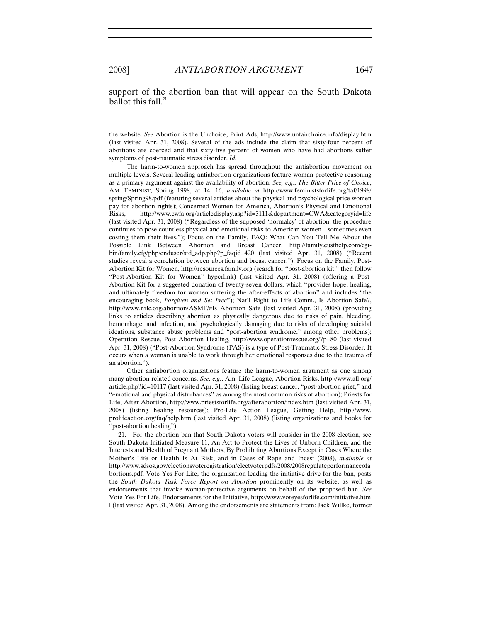### support of the abortion ban that will appear on the South Dakota ballot this fall. $^{21}$

the website. *See* Abortion is the Unchoice, Print Ads, http://www.unfairchoice.info/display.htm (last visited Apr. 31, 2008). Several of the ads include the claim that sixty-four percent of abortions are coerced and that sixty-five percent of women who have had abortions suffer symptoms of post-traumatic stress disorder. *Id.*

The harm-to-women approach has spread throughout the antiabortion movement on multiple levels. Several leading antiabortion organizations feature woman-protective reasoning as a primary argument against the availability of abortion. *See, e.g.*, *The Bitter Price of Choice*, AM. FEMINIST, Spring 1998, at 14, 16, *available at* http://www.feministsforlife.org/taf/1998/ spring/Spring98.pdf (featuring several articles about the physical and psychological price women pay for abortion rights); Concerned Women for America, Abortion's Physical and Emotional Risks, http://www.cwfa.org/articledisplay.asp?id=3111&department=CWA&categoryid=life (last visited Apr. 31, 2008) ("Regardless of the supposed 'normalcy' of abortion, the procedure continues to pose countless physical and emotional risks to American women—sometimes even costing them their lives."); Focus on the Family, FAQ: What Can You Tell Me About the Possible Link Between Abortion and Breast Cancer, http://family.custhelp.com/cgibin/family.cfg/php/enduser/std\_adp.php?p\_faqid=420 (last visited Apr. 31, 2008) ("Recent studies reveal a correlation between abortion and breast cancer."); Focus on the Family, Post-Abortion Kit for Women, http://resources.family.org (search for "post-abortion kit," then follow "Post-Abortion Kit for Women" hyperlink) (last visited Apr. 31, 2008) (offering a Post-Abortion Kit for a suggested donation of twenty-seven dollars, which "provides hope, healing, and ultimately freedom for women suffering the after-effects of abortion" and includes "the encouraging book, *Forgiven and Set Free*"); Nat'l Right to Life Comm., Is Abortion Safe?, http://www.nrlc.org/abortion/ASMF/#Is\_Abortion\_Safe (last visited Apr. 31, 2008) (providing links to articles describing abortion as physically dangerous due to risks of pain, bleeding, hemorrhage, and infection, and psychologically damaging due to risks of developing suicidal ideations, substance abuse problems and "post-abortion syndrome," among other problems); Operation Rescue, Post Abortion Healing, http://www.operationrescue.org/?p=80 (last visited Apr. 31, 2008) ("Post-Abortion Syndrome (PAS) is a type of Post-Traumatic Stress Disorder. It occurs when a woman is unable to work through her emotional responses due to the trauma of an abortion.").

Other antiabortion organizations feature the harm-to-women argument as one among many abortion-related concerns. *See, e.g.*, Am. Life League, Abortion Risks, http://www.all.org/ article.php?id=10117 (last visited Apr. 31, 2008) (listing breast cancer, "post-abortion grief," and "emotional and physical disturbances" as among the most common risks of abortion); Priests for Life, After Abortion, http://www.priestsforlife.org/afterabortion/index.htm (last visited Apr. 31, 2008) (listing healing resources); Pro-Life Action League, Getting Help, http://www. prolifeaction.org/faq/help.htm (last visited Apr. 31, 2008) (listing organizations and books for "post-abortion healing").

 21. For the abortion ban that South Dakota voters will consider in the 2008 election, see South Dakota Initiated Measure 11, An Act to Protect the Lives of Unborn Children, and the Interests and Health of Pregnant Mothers, By Prohibiting Abortions Except in Cases Where the Mother's Life or Health Is At Risk, and in Cases of Rape and Incest (2008), *available at* http://www.sdsos.gov/electionsvoteregistration/electvoterpdfs/2008/2008regulateperformanceofa bortions.pdf. Vote Yes For Life, the organization leading the initiative drive for the ban, posts the *South Dakota Task Force Report on Abortion* prominently on its website, as well as endorsements that invoke woman-protective arguments on behalf of the proposed ban. *See* Vote Yes For Life, Endorsements for the Initiative, http://www.voteyesforlife.com/initiative.htm l (last visited Apr. 31, 2008). Among the endorsements are statements from: Jack Willke, former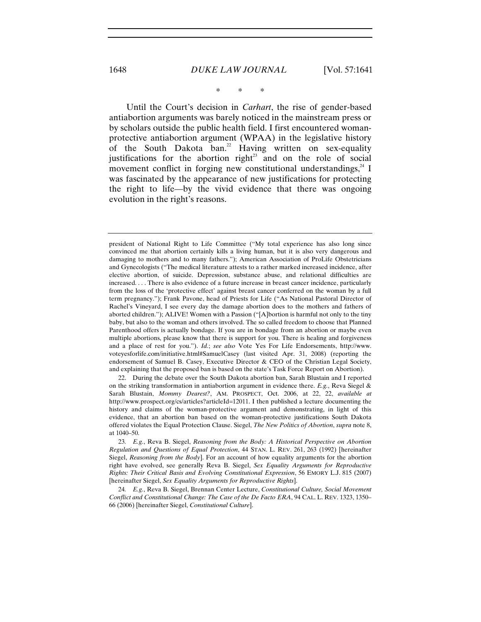\* \* \*

Until the Court's decision in *Carhart*, the rise of gender-based antiabortion arguments was barely noticed in the mainstream press or by scholars outside the public health field. I first encountered womanprotective antiabortion argument (WPAA) in the legislative history of the South Dakota ban.<sup>22</sup> Having written on sex-equality justifications for the abortion right<sup>23</sup> and on the role of social movement conflict in forging new constitutional understandings, $^{24}$  I was fascinated by the appearance of new justifications for protecting the right to life—by the vivid evidence that there was ongoing evolution in the right's reasons.

president of National Right to Life Committee ("My total experience has also long since convinced me that abortion certainly kills a living human, but it is also very dangerous and damaging to mothers and to many fathers."); American Association of ProLife Obstetricians and Gynecologists ("The medical literature attests to a rather marked increased incidence, after elective abortion, of suicide. Depression, substance abuse, and relational difficulties are increased. . . . There is also evidence of a future increase in breast cancer incidence, particularly from the loss of the 'protective effect' against breast cancer conferred on the woman by a full term pregnancy."); Frank Pavone, head of Priests for Life ("As National Pastoral Director of Rachel's Vineyard, I see every day the damage abortion does to the mothers and fathers of aborted children."); ALIVE! Women with a Passion ("[A]bortion is harmful not only to the tiny baby, but also to the woman and others involved. The so called freedom to choose that Planned Parenthood offers is actually bondage. If you are in bondage from an abortion or maybe even multiple abortions, please know that there is support for you. There is healing and forgiveness and a place of rest for you."). *Id.*; *see also* Vote Yes For Life Endorsements, http://www. voteyesforlife.com/initiative.html#SamuelCasey (last visited Apr. 31, 2008) (reporting the endorsement of Samuel B. Casey, Executive Director & CEO of the Christian Legal Society, and explaining that the proposed ban is based on the state's Task Force Report on Abortion).

 22. During the debate over the South Dakota abortion ban, Sarah Blustain and I reported on the striking transformation in antiabortion argument in evidence there. *E.g.*, Reva Siegel & Sarah Blustain, *Mommy Dearest?*, AM. PROSPECT, Oct. 2006, at 22, 22, *available at* http://www.prospect.org/cs/articles?articleId=12011. I then published a lecture documenting the history and claims of the woman-protective argument and demonstrating, in light of this evidence, that an abortion ban based on the woman-protective justifications South Dakota offered violates the Equal Protection Clause. Siegel, *The New Politics of Abortion*, *supra* note 8, at 1040–50.

23*. E.g.*, Reva B. Siegel, *Reasoning from the Body: A Historical Perspective on Abortion Regulation and Questions of Equal Protection*, 44 STAN. L. REV. 261, 263 (1992) [hereinafter Siegel, *Reasoning from the Body*]. For an account of how equality arguments for the abortion right have evolved, see generally Reva B. Siegel, *Sex Equality Arguments for Reproductive Rights: Their Critical Basis and Evolving Constitutional Expression*, 56 EMORY L.J. 815 (2007) [hereinafter Siegel, *Sex Equality Arguments for Reproductive Rights*].

24*. E.g.*, Reva B. Siegel, Brennan Center Lecture, *Constitutional Culture, Social Movement Conflict and Constitutional Change: The Case of the De Facto ERA*, 94 CAL. L. REV. 1323, 1350– 66 (2006) [hereinafter Siegel, *Constitutional Culture*].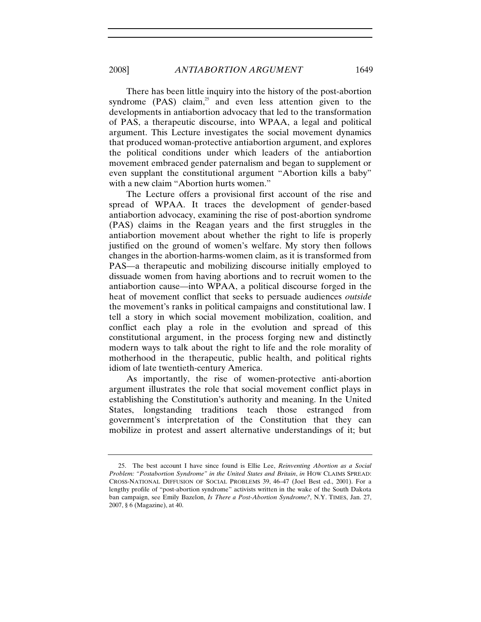There has been little inquiry into the history of the post-abortion syndrome  $(PAS)$  claim,<sup>25</sup> and even less attention given to the developments in antiabortion advocacy that led to the transformation of PAS, a therapeutic discourse, into WPAA, a legal and political argument. This Lecture investigates the social movement dynamics that produced woman-protective antiabortion argument, and explores the political conditions under which leaders of the antiabortion movement embraced gender paternalism and began to supplement or even supplant the constitutional argument "Abortion kills a baby" with a new claim "Abortion hurts women."

The Lecture offers a provisional first account of the rise and spread of WPAA. It traces the development of gender-based antiabortion advocacy, examining the rise of post-abortion syndrome (PAS) claims in the Reagan years and the first struggles in the antiabortion movement about whether the right to life is properly justified on the ground of women's welfare. My story then follows changes in the abortion-harms-women claim, as it is transformed from PAS—a therapeutic and mobilizing discourse initially employed to dissuade women from having abortions and to recruit women to the antiabortion cause—into WPAA, a political discourse forged in the heat of movement conflict that seeks to persuade audiences *outside* the movement's ranks in political campaigns and constitutional law. I tell a story in which social movement mobilization, coalition, and conflict each play a role in the evolution and spread of this constitutional argument, in the process forging new and distinctly modern ways to talk about the right to life and the role morality of motherhood in the therapeutic, public health, and political rights idiom of late twentieth-century America.

As importantly, the rise of women-protective anti-abortion argument illustrates the role that social movement conflict plays in establishing the Constitution's authority and meaning. In the United States, longstanding traditions teach those estranged from government's interpretation of the Constitution that they can mobilize in protest and assert alternative understandings of it; but

 <sup>25.</sup> The best account I have since found is Ellie Lee, *Reinventing Abortion as a Social Problem: "Postabortion Syndrome" in the United States and Britain*, *in* HOW CLAIMS SPREAD: CROSS-NATIONAL DIFFUSION OF SOCIAL PROBLEMS 39, 46–47 (Joel Best ed., 2001). For a lengthy profile of "post-abortion syndrome" activists written in the wake of the South Dakota ban campaign, see Emily Bazelon, *Is There a Post-Abortion Syndrome?*, N.Y. TIMES, Jan. 27, 2007, § 6 (Magazine), at 40.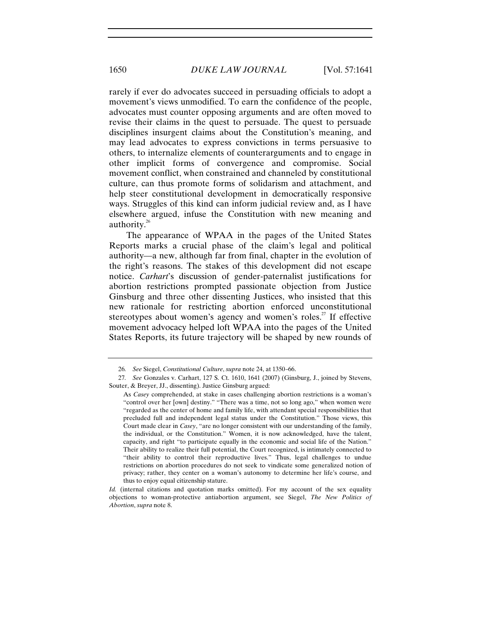rarely if ever do advocates succeed in persuading officials to adopt a movement's views unmodified. To earn the confidence of the people, advocates must counter opposing arguments and are often moved to revise their claims in the quest to persuade. The quest to persuade disciplines insurgent claims about the Constitution's meaning, and may lead advocates to express convictions in terms persuasive to others, to internalize elements of counterarguments and to engage in other implicit forms of convergence and compromise. Social movement conflict, when constrained and channeled by constitutional culture, can thus promote forms of solidarism and attachment, and help steer constitutional development in democratically responsive ways. Struggles of this kind can inform judicial review and, as I have elsewhere argued, infuse the Constitution with new meaning and authority.<sup>26</sup>

The appearance of WPAA in the pages of the United States Reports marks a crucial phase of the claim's legal and political authority—a new, although far from final, chapter in the evolution of the right's reasons. The stakes of this development did not escape notice. *Carhart*'s discussion of gender-paternalist justifications for abortion restrictions prompted passionate objection from Justice Ginsburg and three other dissenting Justices, who insisted that this new rationale for restricting abortion enforced unconstitutional stereotypes about women's agency and women's roles.<sup>27</sup> If effective movement advocacy helped loft WPAA into the pages of the United States Reports, its future trajectory will be shaped by new rounds of

<sup>26</sup>*. See* Siegel, *Constitutional Culture*, *supra* note 24, at 1350–66.

<sup>27</sup>*. See* Gonzales v. Carhart, 127 S. Ct. 1610, 1641 (2007) (Ginsburg, J., joined by Stevens, Souter, & Breyer, JJ., dissenting). Justice Ginsburg argued:

As *Casey* comprehended, at stake in cases challenging abortion restrictions is a woman's "control over her [own] destiny." "There was a time, not so long ago," when women were "regarded as the center of home and family life, with attendant special responsibilities that precluded full and independent legal status under the Constitution." Those views, this Court made clear in *Casey*, "are no longer consistent with our understanding of the family, the individual, or the Constitution." Women, it is now acknowledged, have the talent, capacity, and right "to participate equally in the economic and social life of the Nation." Their ability to realize their full potential, the Court recognized, is intimately connected to "their ability to control their reproductive lives." Thus, legal challenges to undue restrictions on abortion procedures do not seek to vindicate some generalized notion of privacy; rather, they center on a woman's autonomy to determine her life's course, and thus to enjoy equal citizenship stature.

*Id.* (internal citations and quotation marks omitted). For my account of the sex equality objections to woman-protective antiabortion argument, see Siegel, *The New Politics of Abortion*, *supra* note 8.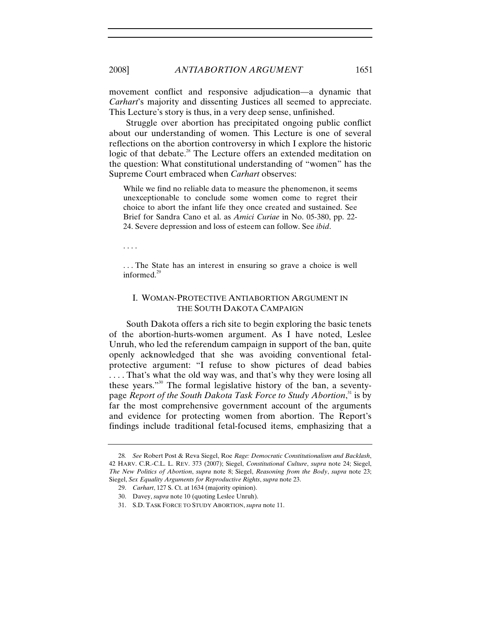movement conflict and responsive adjudication—a dynamic that *Carhart*'s majority and dissenting Justices all seemed to appreciate. This Lecture's story is thus, in a very deep sense, unfinished.

Struggle over abortion has precipitated ongoing public conflict about our understanding of women. This Lecture is one of several reflections on the abortion controversy in which I explore the historic logic of that debate.<sup>28</sup> The Lecture offers an extended meditation on the question: What constitutional understanding of "women" has the Supreme Court embraced when *Carhart* observes:

While we find no reliable data to measure the phenomenon, it seems unexceptionable to conclude some women come to regret their choice to abort the infant life they once created and sustained. See Brief for Sandra Cano et al. as *Amici Curiae* in No. 05-380, pp. 22- 24. Severe depression and loss of esteem can follow. See *ibid*.

. . . .

. . . The State has an interest in ensuring so grave a choice is well informed.<sup>29</sup>

# I. WOMAN-PROTECTIVE ANTIABORTION ARGUMENT IN THE SOUTH DAKOTA CAMPAIGN

South Dakota offers a rich site to begin exploring the basic tenets of the abortion-hurts-women argument. As I have noted, Leslee Unruh, who led the referendum campaign in support of the ban, quite openly acknowledged that she was avoiding conventional fetalprotective argument: "I refuse to show pictures of dead babies . . . . That's what the old way was, and that's why they were losing all these years."30 The formal legislative history of the ban, a seventypage *Report of the South Dakota Task Force to Study Abortion*, 31 is by far the most comprehensive government account of the arguments and evidence for protecting women from abortion. The Report's findings include traditional fetal-focused items, emphasizing that a

<sup>28</sup>*. See* Robert Post & Reva Siegel, Roe *Rage: Democratic Constitutionalism and Backlash*, 42 HARV. C.R.-C.L. L. REV. 373 (2007); Siegel, *Constitutional Culture*, *supra* note 24; Siegel, *The New Politics of Abortion*, *supra* note 8; Siegel, *Reasoning from the Body*, *supra* note 23; Siegel, *Sex Equality Arguments for Reproductive Rights*, *supra* note 23.

 <sup>29.</sup> *Carhart*, 127 S. Ct. at 1634 (majority opinion).

 <sup>30.</sup> Davey, *supra* note 10 (quoting Leslee Unruh).

 <sup>31.</sup> S.D. TASK FORCE TO STUDY ABORTION, *supra* note 11.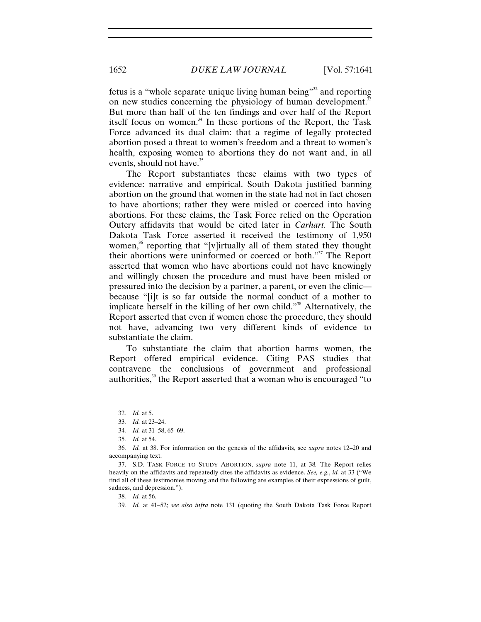fetus is a "whole separate unique living human being"<sup>32</sup> and reporting on new studies concerning the physiology of human development.<sup>33</sup> But more than half of the ten findings and over half of the Report itself focus on women. $34$  In these portions of the Report, the Task Force advanced its dual claim: that a regime of legally protected abortion posed a threat to women's freedom and a threat to women's health, exposing women to abortions they do not want and, in all events, should not have.<sup>35</sup>

The Report substantiates these claims with two types of evidence: narrative and empirical. South Dakota justified banning abortion on the ground that women in the state had not in fact chosen to have abortions; rather they were misled or coerced into having abortions. For these claims, the Task Force relied on the Operation Outcry affidavits that would be cited later in *Carhart*. The South Dakota Task Force asserted it received the testimony of 1,950 women,<sup>36</sup> reporting that "[v]irtually all of them stated they thought their abortions were uninformed or coerced or both."37 The Report asserted that women who have abortions could not have knowingly and willingly chosen the procedure and must have been misled or pressured into the decision by a partner, a parent, or even the clinic because "[i]t is so far outside the normal conduct of a mother to implicate herself in the killing of her own child."<sup>38</sup> Alternatively, the Report asserted that even if women chose the procedure, they should not have, advancing two very different kinds of evidence to substantiate the claim.

To substantiate the claim that abortion harms women, the Report offered empirical evidence. Citing PAS studies that contravene the conclusions of government and professional authorities,<sup>39</sup> the Report asserted that a woman who is encouraged "to

<sup>32</sup>*. Id.* at 5.

<sup>33</sup>*. Id.* at 23–24.

<sup>34</sup>*. Id.* at 31–58, 65–69.

<sup>35</sup>*. Id.* at 54.

<sup>36</sup>*. Id.* at 38. For information on the genesis of the affidavits, see *supra* notes 12–20 and accompanying text.

 <sup>37.</sup> S.D. TASK FORCE TO STUDY ABORTION, *supra* note 11, at 38*.* The Report relies heavily on the affidavits and repeatedly cites the affidavits as evidence. *See, e.g.*, *id.* at 33 ("We find all of these testimonies moving and the following are examples of their expressions of guilt, sadness, and depression.").

<sup>38</sup>*. Id.* at 56.

<sup>39</sup>*. Id.* at 41–52; *see also infra* note 131 (quoting the South Dakota Task Force Report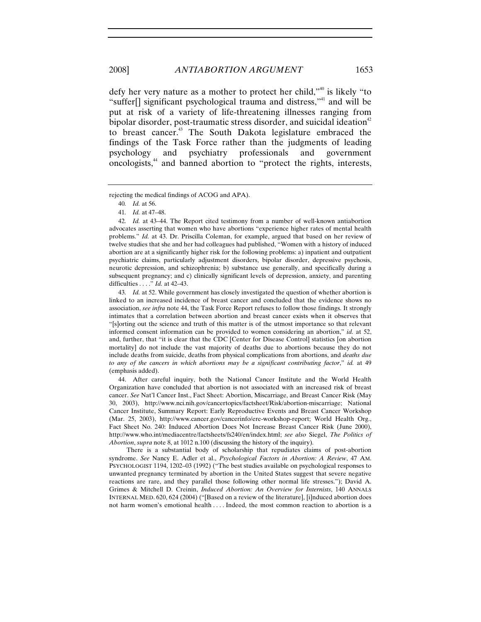defy her very nature as a mother to protect her child," $40$  is likely "to "suffer[] significant psychological trauma and distress,"41 and will be put at risk of a variety of life-threatening illnesses ranging from bipolar disorder, post-traumatic stress disorder, and suicidal ideation<sup>42</sup> to breast cancer.<sup>43</sup> The South Dakota legislature embraced the findings of the Task Force rather than the judgments of leading psychology and psychiatry professionals and government oncologists,<sup>44</sup> and banned abortion to "protect the rights, interests,

43*. Id.* at 52. While government has closely investigated the question of whether abortion is linked to an increased incidence of breast cancer and concluded that the evidence shows no association, *see infra* note 44, the Task Force Report refuses to follow those findings. It strongly intimates that a correlation between abortion and breast cancer exists when it observes that "[s]orting out the science and truth of this matter is of the utmost importance so that relevant informed consent information can be provided to women considering an abortion," *id.* at 52, and, further, that "it is clear that the CDC [Center for Disease Control] statistics [on abortion mortality] do not include the vast majority of deaths due to abortions because they do not include deaths from suicide, deaths from physical complications from abortions, and *deaths due to any of the cancers in which abortions may be a significant contributing factor*," *id.* at 49 (emphasis added).

 44. After careful inquiry, both the National Cancer Institute and the World Health Organization have concluded that abortion is not associated with an increased risk of breast cancer. *See* Nat'l Cancer Inst., Fact Sheet: Abortion, Miscarriage, and Breast Cancer Risk (May 30, 2003), http://www.nci.nih.gov/cancertopics/factsheet/Risk/abortion-miscarriage; National Cancer Institute, Summary Report: Early Reproductive Events and Breast Cancer Workshop (Mar. 25, 2003), http://www.cancer.gov/cancerinfo/ere-workshop-report; World Health Org., Fact Sheet No. 240: Induced Abortion Does Not Increase Breast Cancer Risk (June 2000), http://www.who.int/mediacentre/factsheets/fs240/en/index.html; *see also* Siegel, *The Politics of Abortion*, *supra* note 8, at 1012 n.100 (discussing the history of the inquiry).

There is a substantial body of scholarship that repudiates claims of post-abortion syndrome. *See* Nancy E. Adler et al., *Psychological Factors in Abortion: A Review*, 47 AM. PSYCHOLOGIST 1194, 1202–03 (1992) ("The best studies available on psychological responses to unwanted pregnancy terminated by abortion in the United States suggest that severe negative reactions are rare, and they parallel those following other normal life stresses."); David A. Grimes & Mitchell D. Creinin, *Induced Abortion: An Overview for Internists*, 140 ANNALS INTERNAL MED. 620, 624 (2004) ("[Based on a review of the literature], [i]nduced abortion does not harm women's emotional health . . . . Indeed, the most common reaction to abortion is a

rejecting the medical findings of ACOG and APA).

<sup>40</sup>*. Id.* at 56.

<sup>41</sup>*. Id.* at 47–48.

<sup>42</sup>*. Id.* at 43–44. The Report cited testimony from a number of well-known antiabortion advocates asserting that women who have abortions "experience higher rates of mental health problems." *Id.* at 43. Dr. Priscilla Coleman, for example, argued that based on her review of twelve studies that she and her had colleagues had published, "Women with a history of induced abortion are at a significantly higher risk for the following problems: a) inpatient and outpatient psychiatric claims, particularly adjustment disorders, bipolar disorder, depressive psychosis, neurotic depression, and schizophrenia; b) substance use generally, and specifically during a subsequent pregnancy; and c) clinically significant levels of depression, anxiety, and parenting difficulties . . . ." *Id.* at 42–43.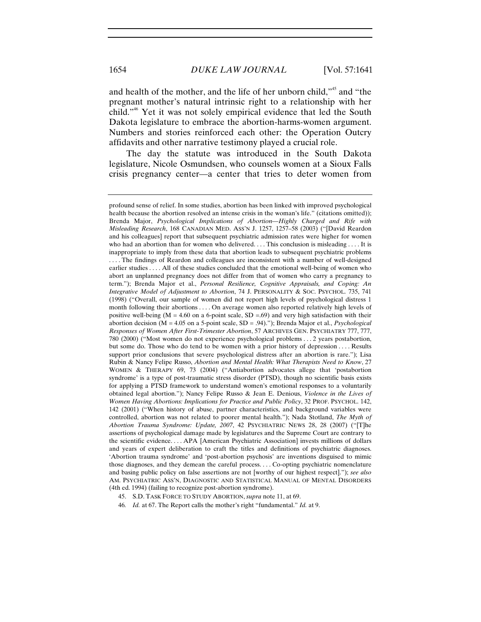and health of the mother, and the life of her unborn child,"<sup>45</sup> and "the pregnant mother's natural intrinsic right to a relationship with her child."46 Yet it was not solely empirical evidence that led the South Dakota legislature to embrace the abortion-harms-women argument. Numbers and stories reinforced each other: the Operation Outcry affidavits and other narrative testimony played a crucial role.

The day the statute was introduced in the South Dakota legislature, Nicole Osmundsen, who counsels women at a Sioux Falls crisis pregnancy center—a center that tries to deter women from

45. S.D. TASK FORCE TO STUDY ABORTION, *supra* note 11, at 69.

46*. Id.* at 67. The Report calls the mother's right "fundamental." *Id.* at 9.

profound sense of relief. In some studies, abortion has been linked with improved psychological health because the abortion resolved an intense crisis in the woman's life." (citations omitted)); Brenda Major, *Psychological Implications of Abortion—Highly Charged and Rife with Misleading Research*, 168 CANADIAN MED. ASS'N J. 1257, 1257–58 (2003) ("[David Reardon and his colleagues] report that subsequent psychiatric admission rates were higher for women who had an abortion than for women who delivered. . . . This conclusion is misleading . . . . It is inappropriate to imply from these data that abortion leads to subsequent psychiatric problems . . . . The findings of Reardon and colleagues are inconsistent with a number of well-designed earlier studies . . . . All of these studies concluded that the emotional well-being of women who abort an unplanned pregnancy does not differ from that of women who carry a pregnancy to term."); Brenda Major et al., *Personal Resilience, Cognitive Appraisals, and Coping: An Integrative Model of Adjustment to Abortion*, 74 J. PERSONALITY & SOC. PSYCHOL. 735, 741 (1998) ("Overall, our sample of women did not report high levels of psychological distress 1 month following their abortions . . . . On average women also reported relatively high levels of positive well-being ( $M = 4.60$  on a 6-point scale, SD =.69) and very high satisfaction with their abortion decision (M = 4.05 on a 5-point scale, SD = .94)."); Brenda Major et al., *Psychological Responses of Women After First-Trimester Abortion*, 57 ARCHIVES GEN. PSYCHIATRY 777, 777, 780 (2000) ("Most women do not experience psychological problems . . . 2 years postabortion, but some do. Those who do tend to be women with a prior history of depression . . . . Results support prior conclusions that severe psychological distress after an abortion is rare."); Lisa Rubin & Nancy Felipe Russo, *Abortion and Mental Health: What Therapists Need to Know*, 27 WOMEN & THERAPY 69, 73 (2004) ("Antiabortion advocates allege that 'postabortion syndrome' is a type of post-traumatic stress disorder (PTSD), though no scientific basis exists for applying a PTSD framework to understand women's emotional responses to a voluntarily obtained legal abortion."); Nancy Felipe Russo & Jean E. Denious, *Violence in the Lives of Women Having Abortions: Implications for Practice and Public Policy*, 32 PROF. PSYCHOL. 142, 142 (2001) ("When history of abuse, partner characteristics, and background variables were controlled, abortion was not related to poorer mental health."); Nada Stotland, *The Myth of Abortion Trauma Syndrome: Update, 2007*, 42 PSYCHIATRIC NEWS 28, 28 (2007) ("[T]he assertions of psychological damage made by legislatures and the Supreme Court are contrary to the scientific evidence. . . . APA [American Psychiatric Association] invests millions of dollars and years of expert deliberation to craft the titles and definitions of psychiatric diagnoses. 'Abortion trauma syndrome' and 'post-abortion psychosis' are inventions disguised to mimic those diagnoses, and they demean the careful process. . . . Co-opting psychiatric nomenclature and basing public policy on false assertions are not [worthy of our highest respect]."); *see also* AM. PSYCHIATRIC ASS'N, DIAGNOSTIC AND STATISTICAL MANUAL OF MENTAL DISORDERS (4th ed. 1994) (failing to recognize post-abortion syndrome).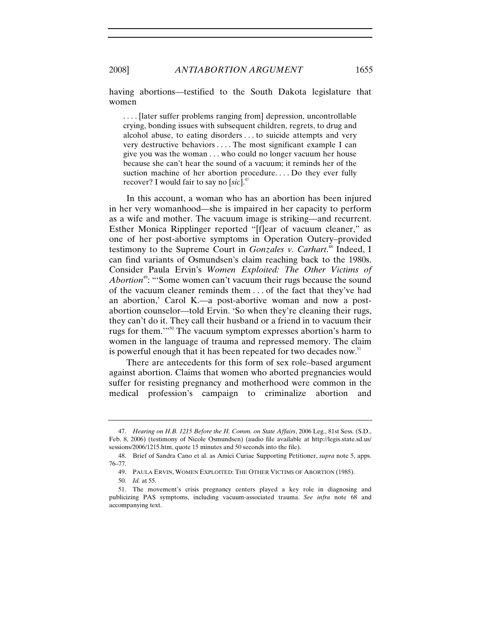having abortions—testified to the South Dakota legislature that women

. . . . [later suffer problems ranging from] depression, uncontrollable crying, bonding issues with subsequent children, regrets, to drug and alcohol abuse, to eating disorders . . . to suicide attempts and very very destructive behaviors . . . . The most significant example I can give you was the woman . . . who could no longer vacuum her house because she can't hear the sound of a vacuum; it reminds her of the suction machine of her abortion procedure.... Do they ever fully recover? I would fair to say no [*sic*].<sup>47</sup>

In this account, a woman who has an abortion has been injured in her very womanhood—she is impaired in her capacity to perform as a wife and mother. The vacuum image is striking—and recurrent. Esther Monica Ripplinger reported "[f]ear of vacuum cleaner," as one of her post-abortive symptoms in Operation Outcry–provided testimony to the Supreme Court in *Gonzales v. Carhart*. 48 Indeed, I can find variants of Osmundsen's claim reaching back to the 1980s. Consider Paula Ervin's *Women Exploited: The Other Victims of*  Abortion<sup>49</sup>: "Some women can't vacuum their rugs because the sound of the vacuum cleaner reminds them . . . of the fact that they've had an abortion,' Carol K.—a post-abortive woman and now a postabortion counselor—told Ervin. 'So when they're cleaning their rugs, they can't do it. They call their husband or a friend in to vacuum their rugs for them."<sup>50</sup> The vacuum symptom expresses abortion's harm to women in the language of trauma and repressed memory. The claim is powerful enough that it has been repeated for two decades now.<sup>51</sup>

There are antecedents for this form of sex role–based argument against abortion. Claims that women who aborted pregnancies would suffer for resisting pregnancy and motherhood were common in the medical profession's campaign to criminalize abortion and

 <sup>47.</sup> *Hearing on H.B. 1215 Before the H. Comm. on State Affairs*, 2006 Leg., 81st Sess. (S.D., Feb. 8, 2006) (testimony of Nicole Osmundsen) (audio file available at http://legis.state.sd.us/ sessions/2006/1215.htm, quote 15 minutes and 50 seconds into the file).

 <sup>48.</sup> Brief of Sandra Cano et al. as Amici Curiae Supporting Petitioner, *supra* note 5, apps. 76–77.

 <sup>49.</sup> PAULA ERVIN, WOMEN EXPLOITED: THE OTHER VICTIMS OF ABORTION (1985).

<sup>50</sup>*. Id.* at 55.

 <sup>51.</sup> The movement's crisis pregnancy centers played a key role in diagnosing and publicizing PAS symptoms, including vacuum-associated trauma. *See infra* note 68 and accompanying text.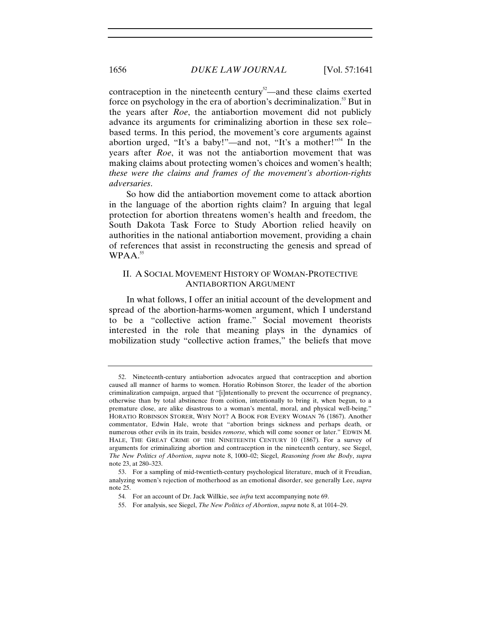contraception in the nineteenth century<sup>52</sup>—and these claims exerted force on psychology in the era of abortion's decriminalization.<sup>53</sup> But in the years after *Roe*, the antiabortion movement did not publicly advance its arguments for criminalizing abortion in these sex role– based terms. In this period, the movement's core arguments against abortion urged, "It's a baby!"—and not, "It's a mother!"<sup>54</sup> In the years after *Roe*, it was not the antiabortion movement that was making claims about protecting women's choices and women's health; *these were the claims and frames of the movement's abortion-rights adversaries*.

So how did the antiabortion movement come to attack abortion in the language of the abortion rights claim? In arguing that legal protection for abortion threatens women's health and freedom, the South Dakota Task Force to Study Abortion relied heavily on authorities in the national antiabortion movement, providing a chain of references that assist in reconstructing the genesis and spread of  $WPAA<sub>55</sub>$ 

## II. A SOCIAL MOVEMENT HISTORY OF WOMAN-PROTECTIVE ANTIABORTION ARGUMENT

In what follows, I offer an initial account of the development and spread of the abortion-harms-women argument, which I understand to be a "collective action frame." Social movement theorists interested in the role that meaning plays in the dynamics of mobilization study "collective action frames," the beliefs that move

 <sup>52.</sup> Nineteenth-century antiabortion advocates argued that contraception and abortion caused all manner of harms to women. Horatio Robinson Storer, the leader of the abortion criminalization campaign, argued that "[i]ntentionally to prevent the occurrence of pregnancy, otherwise than by total abstinence from coition, intentionally to bring it, when begun, to a premature close, are alike disastrous to a woman's mental, moral, and physical well-being." HORATIO ROBINSON STORER, WHY NOT? A BOOK FOR EVERY WOMAN 76 (1867). Another commentator, Edwin Hale, wrote that "abortion brings sickness and perhaps death, or numerous other evils in its train, besides *remorse*, which will come sooner or later." EDWIN M. HALE, THE GREAT CRIME OF THE NINETEENTH CENTURY 10 (1867). For a survey of arguments for criminalizing abortion and contraception in the nineteenth century, see Siegel, *The New Politics of Abortion*, *supra* note 8, 1000–02; Siegel, *Reasoning from the Body*, *supra* note 23, at 280–323.

 <sup>53.</sup> For a sampling of mid-twentieth-century psychological literature, much of it Freudian, analyzing women's rejection of motherhood as an emotional disorder, see generally Lee, *supra* note 25.

<sup>54</sup>*.* For an account of Dr. Jack Willkie, see *infra* text accompanying note 69.

 <sup>55.</sup> For analysis, see Siegel, *The New Politics of Abortion*, *supra* note 8, at 1014–29.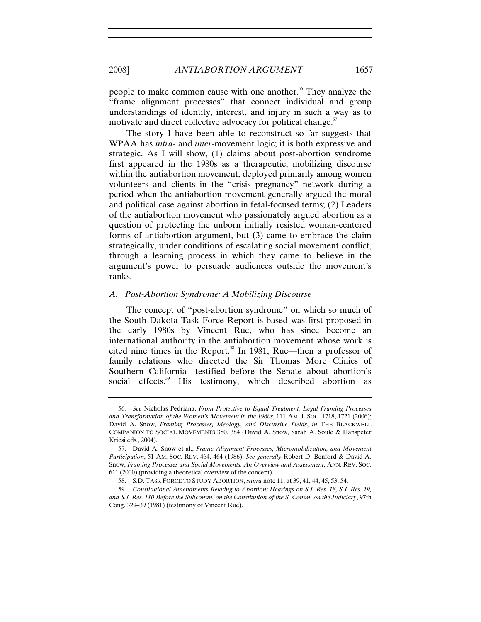people to make common cause with one another.<sup>56</sup> They analyze the "frame alignment processes" that connect individual and group understandings of identity, interest, and injury in such a way as to motivate and direct collective advocacy for political change.<sup>57</sup>

The story I have been able to reconstruct so far suggests that WPAA has *intra*- and *inter-*movement logic; it is both expressive and strategic. As I will show, (1) claims about post-abortion syndrome first appeared in the 1980s as a therapeutic, mobilizing discourse within the antiabortion movement, deployed primarily among women volunteers and clients in the "crisis pregnancy" network during a period when the antiabortion movement generally argued the moral and political case against abortion in fetal-focused terms; (2) Leaders of the antiabortion movement who passionately argued abortion as a question of protecting the unborn initially resisted woman-centered forms of antiabortion argument, but (3) came to embrace the claim strategically, under conditions of escalating social movement conflict, through a learning process in which they came to believe in the argument's power to persuade audiences outside the movement's ranks.

#### *A. Post-Abortion Syndrome: A Mobilizing Discourse*

The concept of "post-abortion syndrome" on which so much of the South Dakota Task Force Report is based was first proposed in the early 1980s by Vincent Rue, who has since become an international authority in the antiabortion movement whose work is cited nine times in the Report.<sup>58</sup> In 1981, Rue—then a professor of family relations who directed the Sir Thomas More Clinics of Southern California—testified before the Senate about abortion's social effects.<sup>59</sup> His testimony, which described abortion as

<sup>56</sup>*. See* Nicholas Pedriana, *From Protective to Equal Treatment: Legal Framing Processes and Transformation of the Women's Movement in the 1960s*, 111 AM. J. SOC. 1718, 1721 (2006); David A. Snow, *Framing Processes, Ideology, and Discursive Fields*, *in* THE BLACKWELL COMPANION TO SOCIAL MOVEMENTS 380, 384 (David A. Snow, Sarah A. Soule & Hanspeter Kriesi eds., 2004).

 <sup>57.</sup> David A. Snow et al., *Frame Alignment Processes, Micromobilization, and Movement Participation*, 51 AM. SOC. REV. 464, 464 (1986). *See generally* Robert D. Benford & David A. Snow, *Framing Processes and Social Movements: An Overview and Assessment*, ANN. REV. SOC. 611 (2000)(providing a theoretical overview of the concept).

 <sup>58.</sup> S.D. TASK FORCE TO STUDY ABORTION, *supra* note 11, at 39, 41, 44, 45, 53, 54.

<sup>59</sup>*. Constitutional Amendments Relating to Abortion: Hearings on S.J. Res. 18, S.J. Res. 19, and S.J. Res. 110 Before the Subcomm. on the Constitution of the S. Comm. on the Judiciary*, 97th Cong. 329–39 (1981) (testimony of Vincent Rue).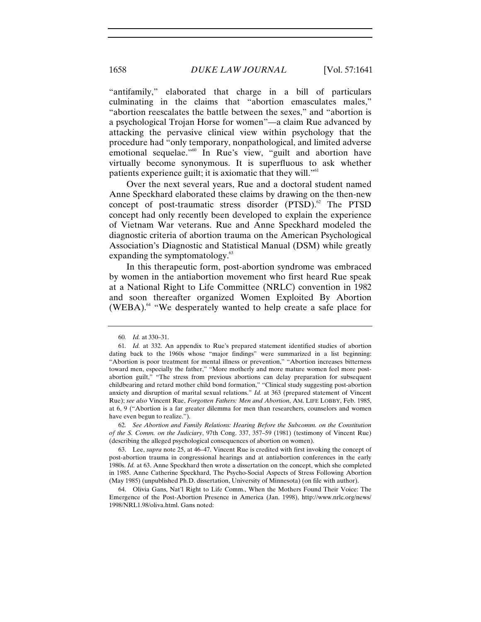"antifamily," elaborated that charge in a bill of particulars culminating in the claims that "abortion emasculates males," "abortion reescalates the battle between the sexes," and "abortion is a psychological Trojan Horse for women"—a claim Rue advanced by attacking the pervasive clinical view within psychology that the procedure had "only temporary, nonpathological, and limited adverse emotional sequelae."<sup>60</sup> In Rue's view, "guilt and abortion have virtually become synonymous. It is superfluous to ask whether patients experience guilt; it is axiomatic that they will."<sup>61</sup>

Over the next several years, Rue and a doctoral student named Anne Speckhard elaborated these claims by drawing on the then-new concept of post-traumatic stress disorder  $(PTSD)$ .<sup>62</sup> The PTSD concept had only recently been developed to explain the experience of Vietnam War veterans. Rue and Anne Speckhard modeled the diagnostic criteria of abortion trauma on the American Psychological Association's Diagnostic and Statistical Manual (DSM) while greatly expanding the symptomatology.<sup>63</sup>

In this therapeutic form, post-abortion syndrome was embraced by women in the antiabortion movement who first heard Rue speak at a National Right to Life Committee (NRLC) convention in 1982 and soon thereafter organized Women Exploited By Abortion (WEBA). $^{64}$  "We desperately wanted to help create a safe place for

<sup>60</sup>*. Id.* at 330–31.

<sup>61</sup>*. Id.* at 332. An appendix to Rue's prepared statement identified studies of abortion dating back to the 1960s whose "major findings" were summarized in a list beginning: "Abortion is poor treatment for mental illness or prevention," "Abortion increases bitterness toward men, especially the father," "More motherly and more mature women feel more postabortion guilt," "The stress from previous abortions can delay preparation for subsequent childbearing and retard mother child bond formation," "Clinical study suggesting post-abortion anxiety and disruption of marital sexual relations." *Id.* at 363 (prepared statement of Vincent Rue); *see also* Vincent Rue, *Forgotten Fathers: Men and Abortion*, AM. LIFE LOBBY, Feb. 1985, at 6, 9 ("Abortion is a far greater dilemma for men than researchers, counselors and women have even begun to realize.").

<sup>62</sup>*. See Abortion and Family Relations: Hearing Before the Subcomm. on the Constitution of the S. Comm. on the Judiciary*, 97th Cong. 337, 357–59 (1981) (testimony of Vincent Rue) (describing the alleged psychological consequences of abortion on women).

 <sup>63.</sup> Lee, *supra* note 25, at 46–47. Vincent Rue is credited with first invoking the concept of post-abortion trauma in congressional hearings and at antiabortion conferences in the early 1980s. *Id.* at 63. Anne Speckhard then wrote a dissertation on the concept, which she completed in 1985. Anne Catherine Speckhard, The Psycho-Social Aspects of Stress Following Abortion (May 1985) (unpublished Ph.D. dissertation, University of Minnesota) (on file with author).

 <sup>64.</sup> Olivia Gans, Nat'l Right to Life Comm., When the Mothers Found Their Voice: The Emergence of the Post-Abortion Presence in America (Jan. 1998), http://www.nrlc.org/news/ 1998/NRL1.98/oliva.html. Gans noted: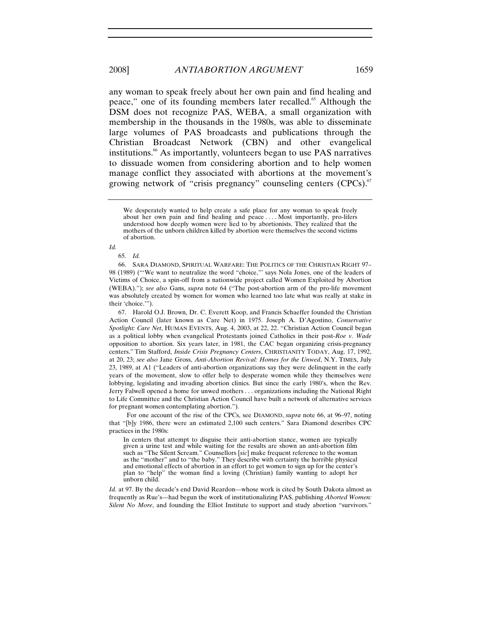any woman to speak freely about her own pain and find healing and peace," one of its founding members later recalled.<sup>65</sup> Although the DSM does not recognize PAS, WEBA, a small organization with membership in the thousands in the 1980s, was able to disseminate large volumes of PAS broadcasts and publications through the Christian Broadcast Network (CBN) and other evangelical institutions.<sup>66</sup> As importantly, volunteers began to use PAS narratives to dissuade women from considering abortion and to help women manage conflict they associated with abortions at the movement's growing network of "crisis pregnancy" counseling centers  $(CPCs)$ .<sup>67</sup>

*Id.*

65*. Id.*

 66. SARA DIAMOND, SPIRITUAL WARFARE: THE POLITICS OF THE CHRISTIAN RIGHT 97– 98 (1989) ("'We want to neutralize the word "choice,"' says Nola Jones, one of the leaders of Victims of Choice, a spin-off from a nationwide project called Women Exploited by Abortion (WEBA)."); *see also* Gans, *supra* note 64 ("The post-abortion arm of the pro-life movement was absolutely created by women for women who learned too late what was really at stake in their 'choice.'").

 67. Harold O.J. Brown, Dr. C. Everett Koop, and Francis Schaeffer founded the Christian Action Council (later known as Care Net) in 1975. Joseph A. D'Agostino, *Conservative Spotlight: Care Net*, HUMAN EVENTS, Aug. 4, 2003, at 22, 22. "Christian Action Council began as a political lobby when evangelical Protestants joined Catholics in their post-*Roe v. Wade* opposition to abortion. Six years later, in 1981, the CAC began organizing crisis-pregnancy centers." Tim Stafford, *Inside Crisis Pregnancy Centers*, CHRISTIANITY TODAY, Aug. 17, 1992, at 20, 23; *see also* Jane Gross, *Anti-Abortion Revival: Homes for the Unwed*, N.Y. TIMES, July 23, 1989, at A1 ("Leaders of anti-abortion organizations say they were delinquent in the early years of the movement, slow to offer help to desperate women while they themselves were lobbying, legislating and invading abortion clinics. But since the early 1980's, when the Rev. Jerry Falwell opened a home for unwed mothers . . . organizations including the National Right to Life Committee and the Christian Action Council have built a network of alternative services for pregnant women contemplating abortion.").

For one account of the rise of the CPCs, see DIAMOND, *supra* note 66, at 96–97, noting that "[b]y 1986, there were an estimated 2,100 such centers." Sara Diamond describes CPC practices in the 1980s:

In centers that attempt to disguise their anti-abortion stance, women are typically given a urine test and while waiting for the results are shown an anti-abortion film such as "The Silent Scream." Counsellors [*sic*] make frequent reference to the woman as the "mother" and to "the baby." They describe with certainty the horrible physical and emotional effects of abortion in an effort to get women to sign up for the center's plan to "help" the woman find a loving (Christian) family wanting to adopt her unborn child.

*Id.* at 97. By the decade's end David Reardon—whose work is cited by South Dakota almost as frequently as Rue's—had begun the work of institutionalizing PAS, publishing *Aborted Women: Silent No More*, and founding the Elliot Institute to support and study abortion "survivors."

We desperately wanted to help create a safe place for any woman to speak freely about her own pain and find healing and peace . . . . Most importantly, pro-lifers understood how deeply women were lied to by abortionists. They realized that the mothers of the unborn children killed by abortion were themselves the second victims of abortion.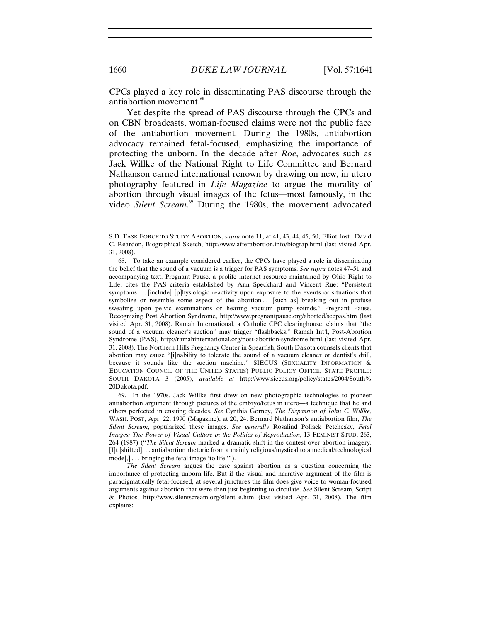CPCs played a key role in disseminating PAS discourse through the antiabortion movement.<sup>68</sup>

Yet despite the spread of PAS discourse through the CPCs and on CBN broadcasts, woman-focused claims were not the public face of the antiabortion movement. During the 1980s, antiabortion advocacy remained fetal-focused, emphasizing the importance of protecting the unborn. In the decade after *Roe*, advocates such as Jack Willke of the National Right to Life Committee and Bernard Nathanson earned international renown by drawing on new, in utero photography featured in *Life Magazine* to argue the morality of abortion through visual images of the fetus—most famously, in the video *Silent Scream*. 69 During the 1980s, the movement advocated

S.D. TASK FORCE TO STUDY ABORTION, *supra* note 11, at 41, 43, 44, 45, 50; Elliot Inst., David C. Reardon, Biographical Sketch, http://www.afterabortion.info/biograp.html (last visited Apr. 31, 2008).

 <sup>68.</sup> To take an example considered earlier, the CPCs have played a role in disseminating the belief that the sound of a vacuum is a trigger for PAS symptoms. *See supra* notes 47–51 and accompanying text. Pregnant Pause, a prolife internet resource maintained by Ohio Right to Life, cites the PAS criteria established by Ann Speckhard and Vincent Rue: "Persistent symptoms . . . [include] [p]hysiologic reactivity upon exposure to the events or situations that symbolize or resemble some aspect of the abortion ... [such as] breaking out in profuse sweating upon pelvic examinations or hearing vacuum pump sounds." Pregnant Pause, Recognizing Post Abortion Syndrome, http://www.pregnantpause.org/aborted/seepas.htm (last visited Apr. 31, 2008). Ramah International, a Catholic CPC clearinghouse, claims that "the sound of a vacuum cleaner's suction" may trigger "flashbacks." Ramah Int'l, Post-Abortion Syndrome (PAS), http://ramahinternational.org/post-abortion-syndrome.html (last visited Apr. 31, 2008). The Northern Hills Pregnancy Center in Spearfish, South Dakota counsels clients that abortion may cause "[i]nability to tolerate the sound of a vacuum cleaner or dentist's drill, because it sounds like the suction machine." SIECUS (SEXUALITY INFORMATION & EDUCATION COUNCIL OF THE UNITED STATES) PUBLIC POLICY OFFICE, STATE PROFILE: SOUTH DAKOTA 3 (2005), *available at* http://www.siecus.org/policy/states/2004/South% 20Dakota.pdf.

 <sup>69.</sup> In the 1970s, Jack Willke first drew on new photographic technologies to pioneer antiabortion argument through pictures of the embryo/fetus in utero—a technique that he and others perfected in ensuing decades. *See* Cynthia Gorney, *The Dispassion of John C. Willke*, WASH. POST, Apr. 22, 1990 (Magazine), at 20, 24. Bernard Nathanson's antiabortion film, *The Silent Scream*, popularized these images. *See generally* Rosalind Pollack Petchesky, *Fetal Images: The Power of Visual Culture in the Politics of Reproduction*, 13 FEMINIST STUD. 263, 264 (1987) ("*The Silent Scream* marked a dramatic shift in the contest over abortion imagery. [I]t [shifted]. . . antiabortion rhetoric from a mainly religious/mystical to a medical/technological mode[,] . . . bringing the fetal image 'to life.'").

*The Silent Scream* argues the case against abortion as a question concerning the importance of protecting unborn life. But if the visual and narrative argument of the film is paradigmatically fetal-focused, at several junctures the film does give voice to woman-focused arguments against abortion that were then just beginning to circulate. *See* Silent Scream, Script & Photos, http://www.silentscream.org/silent\_e.htm (last visited Apr. 31, 2008). The film explains: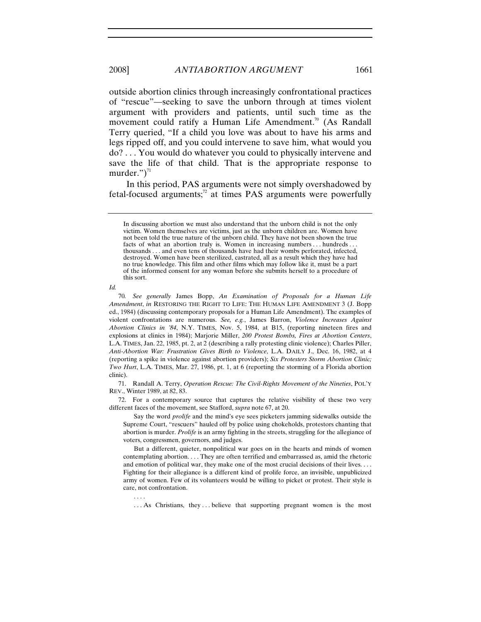outside abortion clinics through increasingly confrontational practices of "rescue"—seeking to save the unborn through at times violent

argument with providers and patients, until such time as the movement could ratify a Human Life Amendment.<sup>70</sup> (As Randall Terry queried, "If a child you love was about to have his arms and legs ripped off, and you could intervene to save him, what would you do? . . . You would do whatever you could to physically intervene and save the life of that child. That is the appropriate response to murder." $)^{71}$ 

In this period, PAS arguments were not simply overshadowed by fetal-focused arguments; $^{72}$  at times PAS arguments were powerfully

*Id.*

. . . .

70*. See generally* James Bopp, *An Examination of Proposals for a Human Life Amendment*, *in* RESTORING THE RIGHT TO LIFE: THE HUMAN LIFE AMENDMENT 3 (J. Bopp ed., 1984) (discussing contemporary proposals for a Human Life Amendment). The examples of violent confrontations are numerous. *See, e.g.*, James Barron, *Violence Increases Against Abortion Clinics in '84*, N.Y. TIMES, Nov. 5, 1984, at B15, (reporting nineteen fires and explosions at clinics in 1984); Marjorie Miller, *200 Protest Bombs, Fires at Abortion Centers*, L.A. TIMES, Jan. 22, 1985, pt. 2, at 2 (describing a rally protesting clinic violence); Charles Piller, *Anti-Abortion War: Frustration Gives Birth to Violence*, L.A. DAILY J., Dec. 16, 1982, at 4 (reporting a spike in violence against abortion providers); *Six Protesters Storm Abortion Clinic; Two Hurt*, L.A. TIMES, Mar. 27, 1986, pt. 1, at 6 (reporting the storming of a Florida abortion clinic).

 71. Randall A. Terry, *Operation Rescue: The Civil-Rights Movement of the Nineties*, POL'Y REV., Winter 1989, at 82, 83.

 72. For a contemporary source that captures the relative visibility of these two very different faces of the movement, see Stafford, *supra* note 67, at 20.

Say the word *prolife* and the mind's eye sees picketers jamming sidewalks outside the Supreme Court, "rescuers" hauled off by police using chokeholds, protestors chanting that abortion is murder. *Prolife* is an army fighting in the streets, struggling for the allegiance of voters, congressmen, governors, and judges.

But a different, quieter, nonpolitical war goes on in the hearts and minds of women contemplating abortion. . . . They are often terrified and embarrassed as, amid the rhetoric and emotion of political war, they make one of the most crucial decisions of their lives. . . . Fighting for their allegiance is a different kind of prolife force, an invisible, unpublicized army of women. Few of its volunteers would be willing to picket or protest. Their style is care, not confrontation.

. . . As Christians, they . . . believe that supporting pregnant women is the most

In discussing abortion we must also understand that the unborn child is not the only victim. Women themselves are victims, just as the unborn children are. Women have not been told the true nature of the unborn child. They have not been shown the true facts of what an abortion truly is. Women in increasing numbers . . . hundreds . . . thousands . . . and even tens of thousands have had their wombs perforated, infected, destroyed. Women have been sterilized, castrated, all as a result which they have had no true knowledge. This film and other films which may follow like it, must be a part of the informed consent for any woman before she submits herself to a procedure of this sort.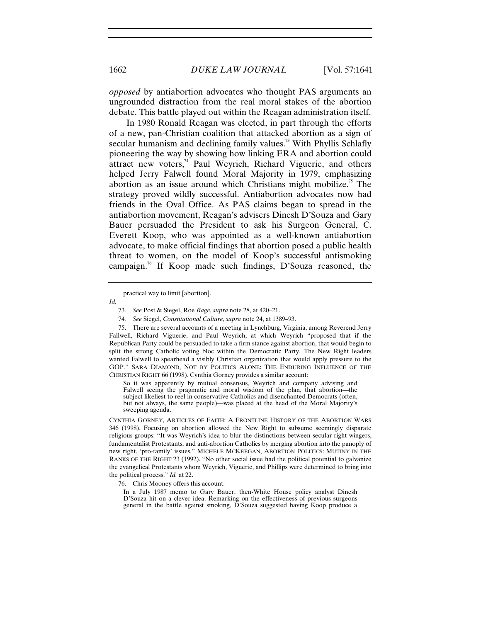*opposed* by antiabortion advocates who thought PAS arguments an ungrounded distraction from the real moral stakes of the abortion debate. This battle played out within the Reagan administration itself.

In 1980 Ronald Reagan was elected, in part through the efforts of a new, pan-Christian coalition that attacked abortion as a sign of secular humanism and declining family values.<sup>73</sup> With Phyllis Schlafly pioneering the way by showing how linking ERA and abortion could attract new voters, $74$  Paul Weyrich, Richard Viguerie, and others helped Jerry Falwell found Moral Majority in 1979, emphasizing abortion as an issue around which Christians might mobilize.<sup>75</sup> The strategy proved wildly successful. Antiabortion advocates now had friends in the Oval Office. As PAS claims began to spread in the antiabortion movement, Reagan's advisers Dinesh D'Souza and Gary Bauer persuaded the President to ask his Surgeon General, C. Everett Koop, who was appointed as a well-known antiabortion advocate, to make official findings that abortion posed a public health threat to women, on the model of Koop's successful antismoking campaign.<sup>76</sup> If Koop made such findings, D'Souza reasoned, the

practical way to limit [abortion].

*Id.* 

73*. See* Post & Siegel, Roe *Rage*, *supra* note 28, at 420–21.

74*. See* Siegel, *Constitutional Culture*, *supra* note 24, at 1389–93.

 75. There are several accounts of a meeting in Lynchburg, Virginia, among Reverend Jerry Fallwell, Richard Viguerie, and Paul Weyrich, at which Weyrich "proposed that if the Republican Party could be persuaded to take a firm stance against abortion, that would begin to split the strong Catholic voting bloc within the Democratic Party. The New Right leaders wanted Falwell to spearhead a visibly Christian organization that would apply pressure to the GOP." SARA DIAMOND, NOT BY POLITICS ALONE: THE ENDURING INFLUENCE OF THE CHRISTIAN RIGHT 66 (1998). Cynthia Gorney provides a similar account:

So it was apparently by mutual consensus, Weyrich and company advising and Falwell seeing the pragmatic and moral wisdom of the plan, that abortion—the subject likeliest to reel in conservative Catholics and disenchanted Democrats (often, but not always, the same people)—was placed at the head of the Moral Majority's sweeping agenda.

CYNTHIA GORNEY, ARTICLES OF FAITH: A FRONTLINE HISTORY OF THE ABORTION WARS 346 (1998). Focusing on abortion allowed the New Right to subsume seemingly disparate religious groups: "It was Weyrich's idea to blur the distinctions between secular right-wingers, fundamentalist Protestants, and anti-abortion Catholics by merging abortion into the panoply of new right, 'pro-family' issues." MICHELE MCKEEGAN, ABORTION POLITICS: MUTINY IN THE RANKS OF THE RIGHT 23 (1992). "No other social issue had the political potential to galvanize the evangelical Protestants whom Weyrich, Viguerie, and Phillips were determined to bring into the political process." *Id.* at 22.

76. Chris Mooney offers this account:

In a July 1987 memo to Gary Bauer, then-White House policy analyst Dinesh D'Souza hit on a clever idea. Remarking on the effectiveness of previous surgeons general in the battle against smoking, D'Souza suggested having Koop produce a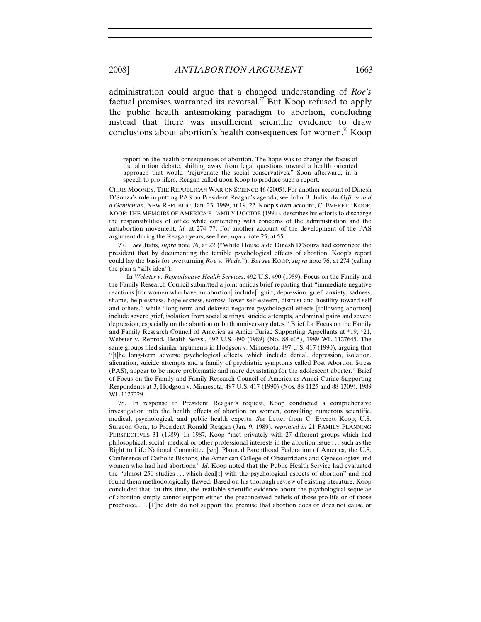administration could argue that a changed understanding of *Roe's* factual premises warranted its reversal.<sup>77</sup> But Koop refused to apply the public health antismoking paradigm to abortion, concluding instead that there was insufficient scientific evidence to draw conclusions about abortion's health consequences for women.<sup>78</sup> Koop

CHRIS MOONEY, THE REPUBLICAN WAR ON SCIENCE 46 (2005). For another account of Dinesh D'Souza's role in putting PAS on President Reagan's agenda, see John B. Judis, *An Officer and a Gentleman*, NEW REPUBLIC, Jan. 23. 1989, at 19, 22. Koop's own account, C. EVERETT KOOP, KOOP: THE MEMOIRS OF AMERICA'S FAMILY DOCTOR (1991), describes his efforts to discharge the responsibilities of office while contending with concerns of the administration and the antiabortion movement, *id.* at 274–77. For another account of the development of the PAS argument during the Reagan years, see Lee, *supra* note 25, at 55.

77*. See* Judis, *supra* note 76, at 22 ("White House aide Dinesh D'Souza had convinced the president that by documenting the terrible psychological effects of abortion, Koop's report could lay the basis for overturning *Roe v. Wade*."). *But see* KOOP, *supra* note 76, at 274 (calling the plan a "silly idea").

In *Webster v. Reproductive Health Services*, 492 U.S. 490 (1989), Focus on the Family and the Family Research Council submitted a joint amicus brief reporting that "immediate negative reactions [for women who have an abortion] include[] guilt, depression, grief, anxiety, sadness, shame, helplessness, hopelessness, sorrow, lower self-esteem, distrust and hostility toward self and others," while "long-term and delayed negative psychological effects [following abortion] include severe grief, isolation from social settings, suicide attempts, abdominal pains and severe depression, especially on the abortion or birth anniversary dates." Brief for Focus on the Family and Family Research Council of America as Amici Curiae Supporting Appellants at \*19, \*21, Webster v. Reprod. Health Servs., 492 U.S. 490 (1989) (No. 88-605), 1989 WL 1127645. The same groups filed similar arguments in Hodgson v. Minnesota, 497 U.S. 417 (1990), arguing that "[t]he long-term adverse psychological effects, which include denial, depression, isolation, alienation, suicide attempts and a family of psychiatric symptoms called Post Abortion Stress (PAS), appear to be more problematic and more devastating for the adolescent aborter." Brief of Focus on the Family and Family Research Council of America as Amici Curiae Supporting Respondents at 3, Hodgson v. Minnesota, 497 U.S. 417 (1990) (Nos. 88-1125 and 88-1309), 1989 WL 1127329.

 78. In response to President Reagan's request, Koop conducted a comprehensive investigation into the health effects of abortion on women, consulting numerous scientific, medical, psychological, and public health experts. *See* Letter from C. Everett Koop, U.S. Surgeon Gen., to President Ronald Reagan (Jan. 9, 1989), *reprinted in* 21 FAMILY PLANNING PERSPECTIVES 31 (1989). In 1987, Koop "met privately with 27 different groups which had philosophical, social, medical or other professional interests in the abortion issue . . . such as the Right to Life National Committee [*sic*], Planned Parenthood Federation of America, the U.S. Conference of Catholic Bishops, the American College of Obstetricians and Gynecologists and women who had had abortions." *Id.* Koop noted that the Public Health Service had evaluated the "almost 250 studies . . . which deal[t] with the psychological aspects of abortion" and had found them methodologically flawed. Based on his thorough review of existing literature, Koop concluded that "at this time, the available scientific evidence about the psychological sequelae of abortion simply cannot support either the preconceived beliefs of those pro-life or of those prochoice. . . . [T]he data do not support the premise that abortion does or does not cause or

report on the health consequences of abortion. The hope was to change the focus of the abortion debate, shifting away from legal questions toward a health oriented approach that would "rejuvenate the social conservatives." Soon afterward, in a speech to pro-lifers, Reagan called upon Koop to produce such a report.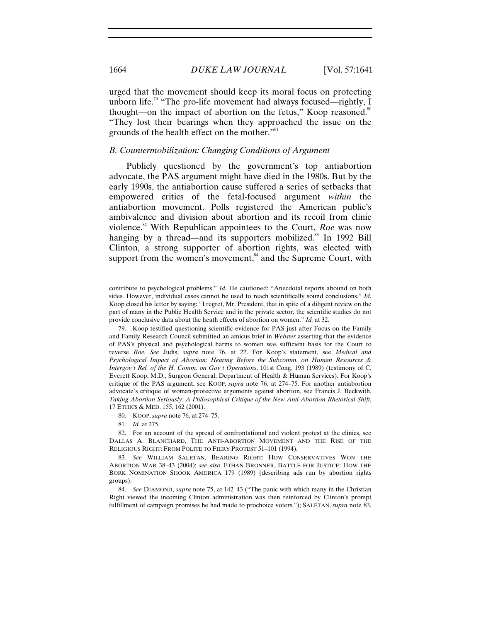urged that the movement should keep its moral focus on protecting unborn life.<sup>79</sup> "The pro-life movement had always focused—rightly, I thought—on the impact of abortion on the fetus," Koop reasoned.<sup>80</sup> "They lost their bearings when they approached the issue on the grounds of the health effect on the mother."<sup>81</sup>

### *B. Countermobilization: Changing Conditions of Argument*

Publicly questioned by the government's top antiabortion advocate, the PAS argument might have died in the 1980s. But by the early 1990s, the antiabortion cause suffered a series of setbacks that empowered critics of the fetal-focused argument *within* the antiabortion movement. Polls registered the American public's ambivalence and division about abortion and its recoil from clinic violence.82 With Republican appointees to the Court, *Roe* was now hanging by a thread—and its supporters mobilized.<sup>83</sup> In 1992 Bill Clinton, a strong supporter of abortion rights, was elected with support from the women's movement, $\overset{84}{\ }$  and the Supreme Court, with

contribute to psychological problems." *Id.* He cautioned: "Anecdotal reports abound on both sides. However, individual cases cannot be used to reach scientifically sound conclusions." *Id*. Koop closed his letter by saying: "I regret, Mr. President, that in spite of a diligent review on the part of many in the Public Health Service and in the private sector, the scientific studies do not provide conclusive data about the heath effects of abortion on women." *Id.* at 32.

 <sup>79.</sup> Koop testified questioning scientific evidence for PAS just after Focus on the Family and Family Research Council submitted an amicus brief in *Webster* asserting that the evidence of PAS's physical and psychological harms to women was sufficient basis for the Court to reverse *Roe*. *See* Judis, *supra* note 76, at 22. For Koop's statement, see *Medical and Psychological Impact of Abortion: Hearing Before the Subcomm. on Human Resources & Intergov't Rel. of the H. Comm. on Gov't Operations*, 101st Cong. 193 (1989) (testimony of C. Everett Koop, M.D., Surgeon General, Department of Health & Human Services). For Koop's critique of the PAS argument, see KOOP, *supra* note 76, at 274–75. For another antiabortion advocate's critique of woman-protective arguments against abortion, see Francis J. Beckwith, *Taking Abortion Seriously: A Philosophical Critique of the New Anti-Abortion Rhetorical Shift*, 17 ETHICS & MED. 155, 162 (2001).

 <sup>80.</sup> KOOP, *supra* note 76, at 274–75.

<sup>81</sup>*. Id.* at 275.

 <sup>82.</sup> For an account of the spread of confrontational and violent protest at the clinics, see DALLAS A. BLANCHARD, THE ANTI-ABORTION MOVEMENT AND THE RISE OF THE RELIGIOUS RIGHT: FROM POLITE TO FIERY PROTEST 51–101 (1994).

<sup>83</sup>*. See* WILLIAM SALETAN, BEARING RIGHT: HOW CONSERVATIVES WON THE ABORTION WAR 38–43 (2004); *see also* ETHAN BRONNER, BATTLE FOR JUSTICE: HOW THE BORK NOMINATION SHOOK AMERICA 179 (1989) (describing ads run by abortion rights groups).

<sup>84</sup>*. See* DIAMOND, *supra* note 75, at 142–43 ("The panic with which many in the Christian Right viewed the incoming Clinton administration was then reinforced by Clinton's prompt fulfillment of campaign promises he had made to prochoice voters."); SALETAN, *supra* note 83,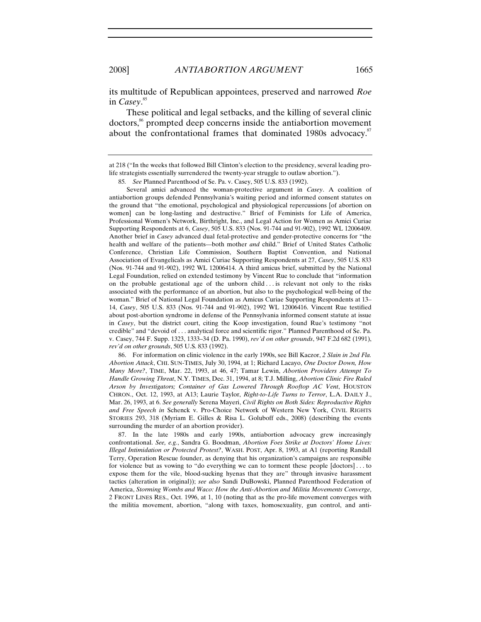its multitude of Republican appointees, preserved and narrowed *Roe* in *Casey*. 85

These political and legal setbacks, and the killing of several clinic doctors,<sup>86</sup> prompted deep concerns inside the antiabortion movement about the confrontational frames that dominated 1980s advocacy.<sup>87</sup>

Several amici advanced the woman-protective argument in *Casey*. A coalition of antiabortion groups defended Pennsylvania's waiting period and informed consent statutes on the ground that "the emotional, psychological and physiological repercussions [of abortion on women] can be long-lasting and destructive." Brief of Feminists for Life of America, Professional Women's Network, Birthright, Inc., and Legal Action for Women as Amici Curiae Supporting Respondents at 6, *Casey*, 505 U.S. 833 (Nos. 91-744 and 91-902), 1992 WL 12006409. Another brief in *Casey* advanced dual fetal-protective and gender-protective concerns for "the health and welfare of the patients—both mother *and* child." Brief of United States Catholic Conference, Christian Life Commission, Southern Baptist Convention, and National Association of Evangelicals as Amici Curiae Supporting Respondents at 27, *Casey*, 505 U.S. 833 (Nos. 91-744 and 91-902), 1992 WL 12006414. A third amicus brief, submitted by the National Legal Foundation, relied on extended testimony by Vincent Rue to conclude that "information on the probable gestational age of the unborn child . . . is relevant not only to the risks associated with the performance of an abortion, but also to the psychological well-being of the woman." Brief of National Legal Foundation as Amicus Curiae Supporting Respondents at 13– 14, *Casey*, 505 U.S. 833 (Nos. 91-744 and 91-902), 1992 WL 12006416. Vincent Rue testified about post-abortion syndrome in defense of the Pennsylvania informed consent statute at issue in *Casey*, but the district court, citing the Koop investigation, found Rue's testimony "not credible" and "devoid of . . . analytical force and scientific rigor." Planned Parenthood of Se. Pa. v. Casey, 744 F. Supp. 1323, 1333–34 (D. Pa. 1990), *rev'd on other grounds*, 947 F.2d 682 (1991), *rev'd on other grounds*, 505 U.S. 833 (1992).

 86. For information on clinic violence in the early 1990s, see Bill Kaczor, *2 Slain in 2nd Fla. Abortion Attack*, CHI. SUN-TIMES, July 30, 1994, at 1; Richard Lacayo, *One Doctor Down, How Many More?*, TIME, Mar. 22, 1993, at 46, 47; Tamar Lewin, *Abortion Providers Attempt To Handle Growing Threat*, N.Y. TIMES, Dec. 31, 1994, at 8; T.J. Milling, *Abortion Clinic Fire Ruled Arson by Investigators; Container of Gas Lowered Through Rooftop AC Vent*, HOUSTON CHRON., Oct. 12, 1993, at A13; Laurie Taylor, *Right-to-Life Turns to Terror*, L.A. DAILY J., Mar. 26, 1993, at 6. *See generally* Serena Mayeri, *Civil Rights on Both Sides: Reproductive Rights and Free Speech in* Schenck v. Pro-Choice Network of Western New York, CIVIL RIGHTS STORIES 293, 318 (Myriam E. Gilles & Risa L. Goluboff eds., 2008) (describing the events surrounding the murder of an abortion provider).

 87. In the late 1980s and early 1990s, antiabortion advocacy grew increasingly confrontational. *See, e.g.*, Sandra G. Boodman, *Abortion Foes Strike at Doctors' Home Lives: Illegal Intimidation or Protected Protest?*, WASH. POST, Apr. 8, 1993, at A1 (reporting Randall Terry, Operation Rescue founder, as denying that his organization's campaigns are responsible for violence but as vowing to "do everything we can to torment these people [doctors] . . . to expose them for the vile, blood-sucking hyenas that they are" through invasive harassment tactics (alteration in original)); *see also* Sandi DuBowski, Planned Parenthood Federation of America, *Storming Wombs and Waco: How the Anti-Abortion and Militia Movements Converge*, 2 FRONT LINES RES., Oct. 1996, at 1, 10 (noting that as the pro-life movement converges with the militia movement, abortion, "along with taxes, homosexuality, gun control, and anti-

at 218 ("In the weeks that followed Bill Clinton's election to the presidency, several leading prolife strategists essentially surrendered the twenty-year struggle to outlaw abortion.").

<sup>85</sup>*. See* Planned Parenthood of Se. Pa. v. Casey, 505 U.S. 833 (1992).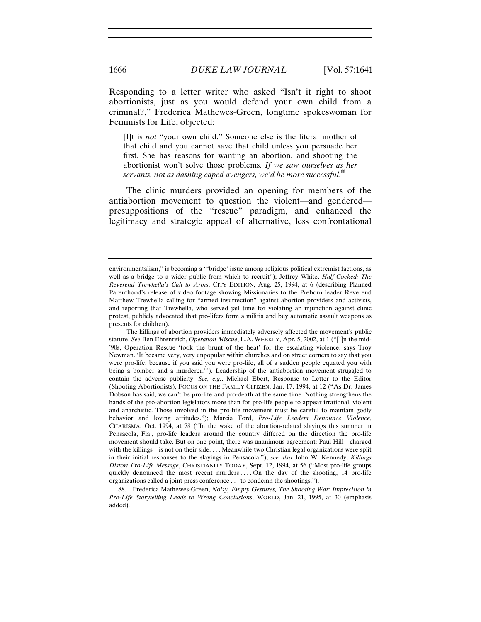Responding to a letter writer who asked "Isn't it right to shoot abortionists, just as you would defend your own child from a criminal?," Frederica Mathewes-Green, longtime spokeswoman for Feminists for Life, objected:

[I]t is *not* "your own child." Someone else is the literal mother of that child and you cannot save that child unless you persuade her first. She has reasons for wanting an abortion, and shooting the abortionist won't solve those problems. *If we saw ourselves as her servants, not as dashing caped avengers, we'd be more successful*. 88

The clinic murders provided an opening for members of the antiabortion movement to question the violent—and gendered presuppositions of the "rescue" paradigm, and enhanced the legitimacy and strategic appeal of alternative, less confrontational

environmentalism," is becoming a "'bridge' issue among religious political extremist factions, as well as a bridge to a wider public from which to recruit"); Jeffrey White, *Half-Cocked: The Reverend Trewhella's Call to Arms*, CITY EDITION, Aug. 25, 1994, at 6 (describing Planned Parenthood's release of video footage showing Missionaries to the Preborn leader Reverend Matthew Trewhella calling for "armed insurrection" against abortion providers and activists, and reporting that Trewhella, who served jail time for violating an injunction against clinic protest, publicly advocated that pro-lifers form a militia and buy automatic assault weapons as presents for children).

The killings of abortion providers immediately adversely affected the movement's public stature. *See* Ben Ehrenreich, *Operation Miscue*, L.A. WEEKLY, Apr. 5, 2002, at 1 ("[I]n the mid- '90s, Operation Rescue 'took the brunt of the heat' for the escalating violence, says Troy Newman. 'It became very, very unpopular within churches and on street corners to say that you were pro-life, because if you said you were pro-life, all of a sudden people equated you with being a bomber and a murderer.'"). Leadership of the antiabortion movement struggled to contain the adverse publicity. *See, e.g.*, Michael Ebert, Response to Letter to the Editor (Shooting Abortionists), FOCUS ON THE FAMILY CITIZEN, Jan. 17, 1994, at 12 ("As Dr. James Dobson has said, we can't be pro-life and pro-death at the same time. Nothing strengthens the hands of the pro-abortion legislators more than for pro-life people to appear irrational, violent and anarchistic. Those involved in the pro-life movement must be careful to maintain godly behavior and loving attitudes."); Marcia Ford, *Pro-Life Leaders Denounce Violence*, CHARISMA, Oct. 1994, at 78 ("In the wake of the abortion-related slayings this summer in Pensacola, Fla., pro-life leaders around the country differed on the direction the pro-life movement should take. But on one point, there was unanimous agreement: Paul Hill—charged with the killings—is not on their side. . . . Meanwhile two Christian legal organizations were split in their initial responses to the slayings in Pensacola."); *see also* John W. Kennedy, *Killings Distort Pro-Life Message*, CHRISTIANITY TODAY, Sept. 12, 1994, at 56 ("Most pro-life groups quickly denounced the most recent murders . . . . On the day of the shooting, 14 pro-life organizations called a joint press conference . . . to condemn the shootings.").

 <sup>88.</sup> Frederica Mathewes-Green, *Noisy, Empty Gestures, The Shooting War: Imprecision in Pro-Life Storytelling Leads to Wrong Conclusions*, WORLD, Jan. 21, 1995, at 30 (emphasis added).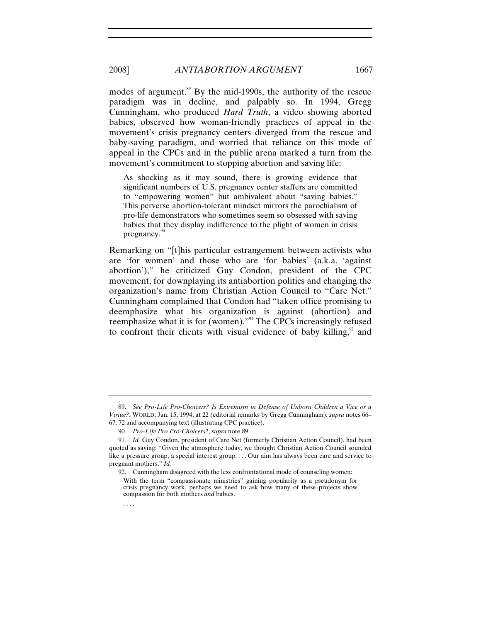modes of argument.<sup>89</sup> By the mid-1990s, the authority of the rescue paradigm was in decline, and palpably so. In 1994, Gregg Cunningham, who produced *Hard Truth*, a video showing aborted babies, observed how woman-friendly practices of appeal in the movement's crisis pregnancy centers diverged from the rescue and baby-saving paradigm, and worried that reliance on this mode of appeal in the CPCs and in the public arena marked a turn from the movement's commitment to stopping abortion and saving life:

As shocking as it may sound, there is growing evidence that significant numbers of U.S. pregnancy center staffers are committed to "empowering women" but ambivalent about "saving babies." This perverse abortion-tolerant mindset mirrors the parochialism of pro-life demonstrators who sometimes seem so obsessed with saving babies that they display indifference to the plight of women in crisis pregnancy.<sup>90</sup>

Remarking on "[t]his particular estrangement between activists who are 'for women' and those who are 'for babies' (a.k.a. 'against abortion')," he criticized Guy Condon, president of the CPC movement, for downplaying its antiabortion politics and changing the organization's name from Christian Action Council to "Care Net." Cunningham complained that Condon had "taken office promising to deemphasize what his organization is against (abortion) and reemphasize what it is for (women)."91 The CPCs increasingly refused to confront their clients with visual evidence of baby killing, $92$  and

 <sup>89.</sup> *See Pro-Life Pro-Choicers? Is Extremism in Defense of Unborn Children a Vice or a Virtue?*, WORLD, Jan. 15, 1994, at 22 (editorial remarks by Gregg Cunningham); *supra* notes 66– 67, 72 and accompanying text (illustrating CPC practice).

<sup>90</sup>*. Pro-Life Pro Pro-Choicers?*, *supra* note 89.

<sup>91</sup>*. Id.* Guy Condon, president of Care Net (formerly Christian Action Council), had been quoted as saying: "Given the atmosphere today, we thought Christian Action Council sounded like a pressure group, a special interest group.... Our aim has always been care and service to pregnant mothers." *Id.*

 <sup>92.</sup> Cunningham disagreed with the less confrontational mode of counseling women:

With the term "compassionate ministries" gaining popularity as a pseudonym for crisis pregnancy work, perhaps we need to ask how many of these projects show compassion for both mothers *and* babies.

<sup>. . . .</sup>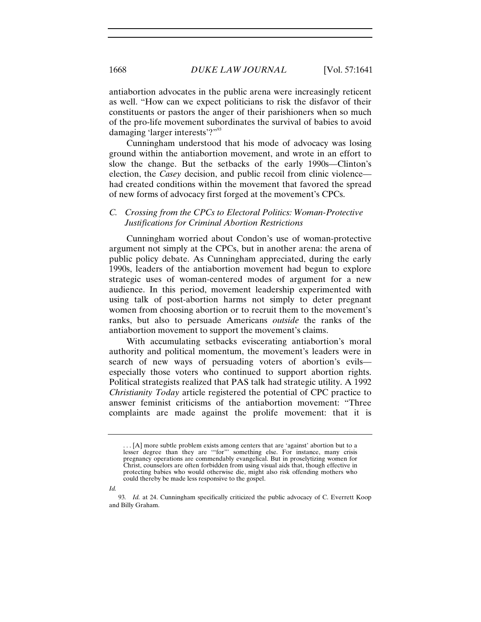antiabortion advocates in the public arena were increasingly reticent as well. "How can we expect politicians to risk the disfavor of their constituents or pastors the anger of their parishioners when so much of the pro-life movement subordinates the survival of babies to avoid damaging 'larger interests'?"<sup>93</sup>

Cunningham understood that his mode of advocacy was losing ground within the antiabortion movement, and wrote in an effort to slow the change. But the setbacks of the early 1990s—Clinton's election, the *Casey* decision, and public recoil from clinic violence had created conditions within the movement that favored the spread of new forms of advocacy first forged at the movement's CPCs.

# *C. Crossing from the CPCs to Electoral Politics: Woman-Protective Justifications for Criminal Abortion Restrictions*

Cunningham worried about Condon's use of woman-protective argument not simply at the CPCs, but in another arena: the arena of public policy debate. As Cunningham appreciated, during the early 1990s, leaders of the antiabortion movement had begun to explore strategic uses of woman-centered modes of argument for a new audience. In this period, movement leadership experimented with using talk of post-abortion harms not simply to deter pregnant women from choosing abortion or to recruit them to the movement's ranks, but also to persuade Americans *outside* the ranks of the antiabortion movement to support the movement's claims.

With accumulating setbacks eviscerating antiabortion's moral authority and political momentum, the movement's leaders were in search of new ways of persuading voters of abortion's evils especially those voters who continued to support abortion rights. Political strategists realized that PAS talk had strategic utility. A 1992 *Christianity Today* article registered the potential of CPC practice to answer feminist criticisms of the antiabortion movement: "Three complaints are made against the prolife movement: that it is

<sup>. . . [</sup>A] more subtle problem exists among centers that are 'against' abortion but to a lesser degree than they are '"for"' something else. For instance, many crisis pregnancy operations are commendably evangelical. But in proselytizing women for Christ, counselors are often forbidden from using visual aids that, though effective in protecting babies who would otherwise die, might also risk offending mothers who could thereby be made less responsive to the gospel.

*Id.*

<sup>93</sup>*. Id.* at 24. Cunningham specifically criticized the public advocacy of C. Everrett Koop and Billy Graham.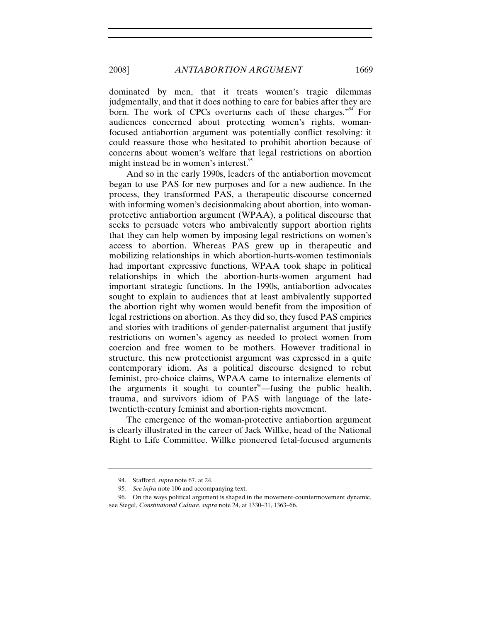dominated by men, that it treats women's tragic dilemmas judgmentally, and that it does nothing to care for babies after they are born. The work of CPCs overturns each of these charges."<sup>94</sup> For audiences concerned about protecting women's rights, womanfocused antiabortion argument was potentially conflict resolving: it could reassure those who hesitated to prohibit abortion because of concerns about women's welfare that legal restrictions on abortion might instead be in women's interest.<sup>95</sup>

And so in the early 1990s, leaders of the antiabortion movement began to use PAS for new purposes and for a new audience. In the process, they transformed PAS, a therapeutic discourse concerned with informing women's decisionmaking about abortion, into womanprotective antiabortion argument (WPAA), a political discourse that seeks to persuade voters who ambivalently support abortion rights that they can help women by imposing legal restrictions on women's access to abortion. Whereas PAS grew up in therapeutic and mobilizing relationships in which abortion-hurts-women testimonials had important expressive functions, WPAA took shape in political relationships in which the abortion-hurts-women argument had important strategic functions. In the 1990s, antiabortion advocates sought to explain to audiences that at least ambivalently supported the abortion right why women would benefit from the imposition of legal restrictions on abortion. As they did so, they fused PAS empirics and stories with traditions of gender-paternalist argument that justify restrictions on women's agency as needed to protect women from coercion and free women to be mothers. However traditional in structure, this new protectionist argument was expressed in a quite contemporary idiom. As a political discourse designed to rebut feminist, pro-choice claims, WPAA came to internalize elements of the arguments it sought to counter<sup>%—fusing</sup> the public health, trauma, and survivors idiom of PAS with language of the latetwentieth-century feminist and abortion-rights movement.

The emergence of the woman-protective antiabortion argument is clearly illustrated in the career of Jack Willke, head of the National Right to Life Committee. Willke pioneered fetal-focused arguments

 <sup>94.</sup> Stafford, *supra* note 67, at 24.

<sup>95</sup>*. See infra* note 106 and accompanying text.

 <sup>96.</sup> On the ways political argument is shaped in the movement-countermovement dynamic, see Siegel, *Constitutional Culture*, *supra* note 24, at 1330–31, 1363–66.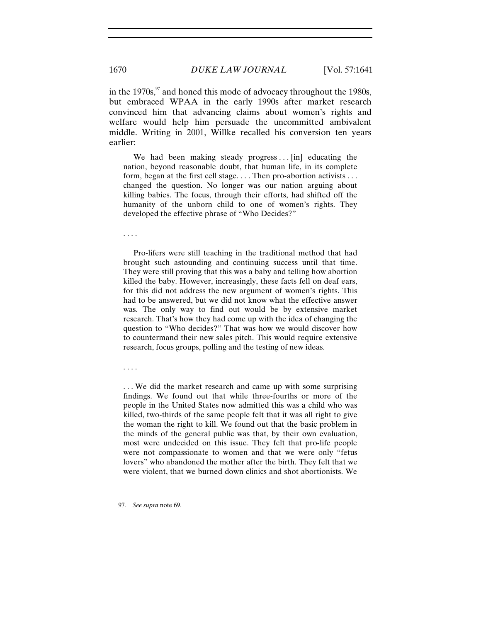in the 1970s, $\frac{97}{7}$  and honed this mode of advocacy throughout the 1980s, but embraced WPAA in the early 1990s after market research convinced him that advancing claims about women's rights and welfare would help him persuade the uncommitted ambivalent middle. Writing in 2001, Willke recalled his conversion ten years earlier:

We had been making steady progress...  $\lceil \text{in} \rceil$  educating the nation, beyond reasonable doubt, that human life, in its complete form, began at the first cell stage. . . . Then pro-abortion activists . . . changed the question. No longer was our nation arguing about killing babies. The focus, through their efforts, had shifted off the humanity of the unborn child to one of women's rights. They developed the effective phrase of "Who Decides?"

. . . .

 Pro-lifers were still teaching in the traditional method that had brought such astounding and continuing success until that time. They were still proving that this was a baby and telling how abortion killed the baby. However, increasingly, these facts fell on deaf ears, for this did not address the new argument of women's rights. This had to be answered, but we did not know what the effective answer was. The only way to find out would be by extensive market research. That's how they had come up with the idea of changing the question to "Who decides?" That was how we would discover how to countermand their new sales pitch. This would require extensive research, focus groups, polling and the testing of new ideas.

. . . .

. . . We did the market research and came up with some surprising findings. We found out that while three-fourths or more of the people in the United States now admitted this was a child who was killed, two-thirds of the same people felt that it was all right to give the woman the right to kill. We found out that the basic problem in the minds of the general public was that, by their own evaluation, most were undecided on this issue. They felt that pro-life people were not compassionate to women and that we were only "fetus lovers" who abandoned the mother after the birth. They felt that we were violent, that we burned down clinics and shot abortionists. We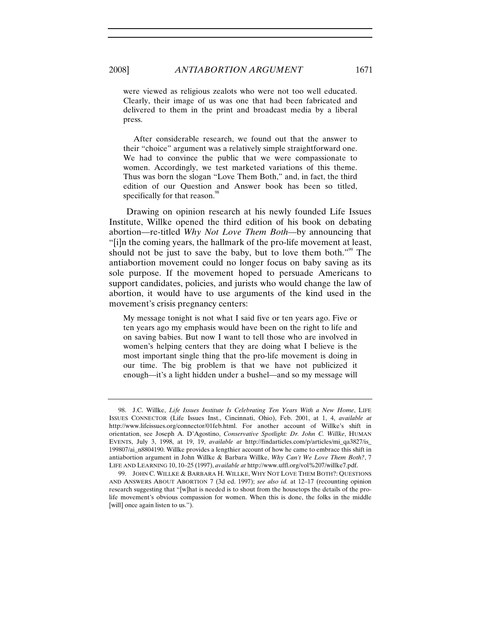were viewed as religious zealots who were not too well educated. Clearly, their image of us was one that had been fabricated and delivered to them in the print and broadcast media by a liberal press.

 After considerable research, we found out that the answer to their "choice" argument was a relatively simple straightforward one. We had to convince the public that we were compassionate to women. Accordingly, we test marketed variations of this theme. Thus was born the slogan "Love Them Both," and, in fact, the third edition of our Question and Answer book has been so titled, specifically for that reason.<sup>98</sup>

Drawing on opinion research at his newly founded Life Issues Institute, Willke opened the third edition of his book on debating abortion—re-titled *Why Not Love Them Both—*by announcing that "[i]n the coming years, the hallmark of the pro-life movement at least, should not be just to save the baby, but to love them both."<sup>99</sup> The antiabortion movement could no longer focus on baby saving as its sole purpose. If the movement hoped to persuade Americans to support candidates, policies, and jurists who would change the law of abortion, it would have to use arguments of the kind used in the movement's crisis pregnancy centers:

My message tonight is not what I said five or ten years ago. Five or ten years ago my emphasis would have been on the right to life and on saving babies. But now I want to tell those who are involved in women's helping centers that they are doing what I believe is the most important single thing that the pro-life movement is doing in our time. The big problem is that we have not publicized it enough—it's a light hidden under a bushel—and so my message will

 <sup>98.</sup> J.C. Willke, *Life Issues Institute Is Celebrating Ten Years With a New Home*, LIFE ISSUES CONNECTOR (Life Issues Inst., Cincinnati, Ohio), Feb. 2001, at 1, 4, *available at*  http://www.lifeissues.org/connector/01feb.html. For another account of Willke's shift in orientation, see Joseph A. D'Agostino, *Conservative Spotlight: Dr. John C. Willke*, HUMAN EVENTS, July 3, 1998, at 19, 19, *available at* http://findarticles.com/p/articles/mi\_qa3827/is\_ 199807/ai\_n8804190. Willke provides a lengthier account of how he came to embrace this shift in antiabortion argument in John Willke & Barbara Willke, *Why Can't We Love Them Both?*, 7 LIFE AND LEARNING 10, 10–25 (1997), *available at* http://www.uffl.org/vol%207/willke7.pdf.

 <sup>99.</sup> JOHN C. WILLKE & BARBARA H. WILLKE, WHY NOT LOVE THEM BOTH?: QUESTIONS AND ANSWERS ABOUT ABORTION 7 (3d ed. 1997); *see also id.* at 12–17 (recounting opinion research suggesting that "[w]hat is needed is to shout from the housetops the details of the prolife movement's obvious compassion for women. When this is done, the folks in the middle [will] once again listen to us.").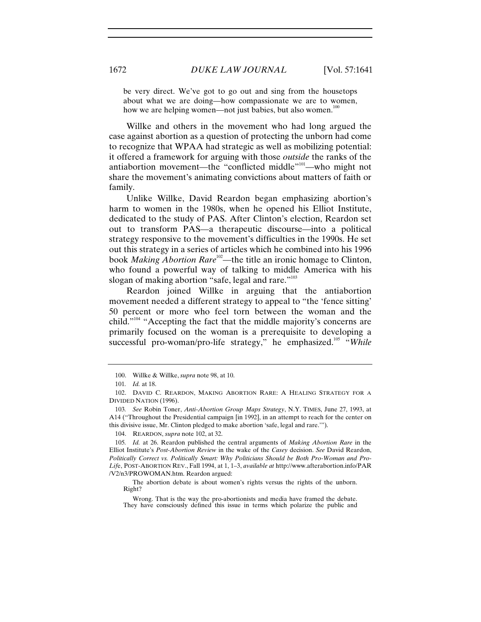be very direct. We've got to go out and sing from the housetops about what we are doing—how compassionate we are to women, how we are helping women—not just babies, but also women.<sup>100</sup>

Willke and others in the movement who had long argued the case against abortion as a question of protecting the unborn had come to recognize that WPAA had strategic as well as mobilizing potential: it offered a framework for arguing with those *outside* the ranks of the antiabortion movement—the "conflicted middle"<sup>101</sup>—who might not share the movement's animating convictions about matters of faith or family.

Unlike Willke, David Reardon began emphasizing abortion's harm to women in the 1980s, when he opened his Elliot Institute, dedicated to the study of PAS. After Clinton's election, Reardon set out to transform PAS—a therapeutic discourse—into a political strategy responsive to the movement's difficulties in the 1990s. He set out this strategy in a series of articles which he combined into his 1996 book *Making Abortion Rare*<sup>102</sup>—the title an ironic homage to Clinton, who found a powerful way of talking to middle America with his slogan of making abortion "safe, legal and rare."<sup>103</sup>

Reardon joined Willke in arguing that the antiabortion movement needed a different strategy to appeal to "the 'fence sitting' 50 percent or more who feel torn between the woman and the child."<sup>104</sup> "Accepting the fact that the middle majority's concerns are primarily focused on the woman is a prerequisite to developing a successful pro-woman/pro-life strategy," he emphasized.<sup>105</sup> "While

 Wrong. That is the way the pro-abortionists and media have framed the debate. They have consciously defined this issue in terms which polarize the public and

 <sup>100.</sup> Willke & Willke, *supra* note 98, at 10.

<sup>101</sup>*. Id.* at 18.

 <sup>102.</sup> DAVID C. REARDON, MAKING ABORTION RARE: A HEALING STRATEGY FOR A DIVIDED NATION (1996).

<sup>103</sup>*. See* Robin Toner, *Anti-Abortion Group Maps Strategy*, N.Y. TIMES, June 27, 1993, at A14 ("Throughout the Presidential campaign [in 1992], in an attempt to reach for the center on this divisive issue, Mr. Clinton pledged to make abortion 'safe, legal and rare.'").

 <sup>104.</sup> REARDON, *supra* note 102, at 32.

<sup>105</sup>*. Id.* at 26. Reardon published the central arguments of *Making Abortion Rare* in the Elliot Institute's *Post-Abortion Review* in the wake of the *Casey* decision. *See* David Reardon, *Politically Correct vs. Politically Smart: Why Politicians Should be Both Pro-Woman and Pro-Lif*e, POST-ABORTION REV., Fall 1994, at 1, 1–3, *available at* http://www.afterabortion.info/PAR /V2/n3/PROWOMAN.htm. Reardon argued:

The abortion debate is about women's rights versus the rights of the unborn. Right?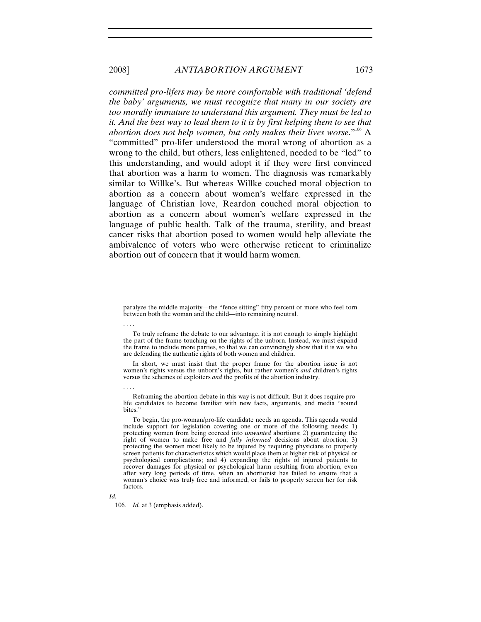*committed pro-lifers may be more comfortable with traditional 'defend the baby' arguments, we must recognize that many in our society are too morally immature to understand this argument. They must be led to it. And the best way to lead them to it is by first helping them to see that abortion does not help women, but only makes their lives worse*."106 A "committed" pro-lifer understood the moral wrong of abortion as a wrong to the child, but others, less enlightened, needed to be "led" to this understanding, and would adopt it if they were first convinced that abortion was a harm to women. The diagnosis was remarkably similar to Willke's. But whereas Willke couched moral objection to abortion as a concern about women's welfare expressed in the language of Christian love, Reardon couched moral objection to abortion as a concern about women's welfare expressed in the language of public health. Talk of the trauma, sterility, and breast cancer risks that abortion posed to women would help alleviate the ambivalence of voters who were otherwise reticent to criminalize abortion out of concern that it would harm women.

paralyze the middle majority—the "fence sitting" fifty percent or more who feel torn between both the woman and the child—into remaining neutral.

 To truly reframe the debate to our advantage, it is not enough to simply highlight the part of the frame touching on the rights of the unborn. Instead, we must expand the frame to include more parties, so that we can convincingly show that it is we who are defending the authentic rights of both women and children.

 In short, we must insist that the proper frame for the abortion issue is not women's rights versus the unborn's rights, but rather women's *and* children's rights versus the schemes of exploiters *and* the profits of the abortion industry.

 Reframing the abortion debate in this way is not difficult. But it does require prolife candidates to become familiar with new facts, arguments, and media "sound bites."

 To begin, the pro-woman/pro-life candidate needs an agenda. This agenda would include support for legislation covering one or more of the following needs: 1) protecting women from being coerced into *unwanted* abortions; 2) guaranteeing the right of women to make free and *fully informed* decisions about abortion; 3) protecting the women most likely to be injured by requiring physicians to properly screen patients for characteristics which would place them at higher risk of physical or psychological complications; and 4) expanding the rights of injured patients to recover damages for physical or psychological harm resulting from abortion, even after very long periods of time, when an abortionist has failed to ensure that a woman's choice was truly free and informed, or fails to properly screen her for risk factors.

*Id.*

. . . .

. . . .

106*. Id.* at 3 (emphasis added).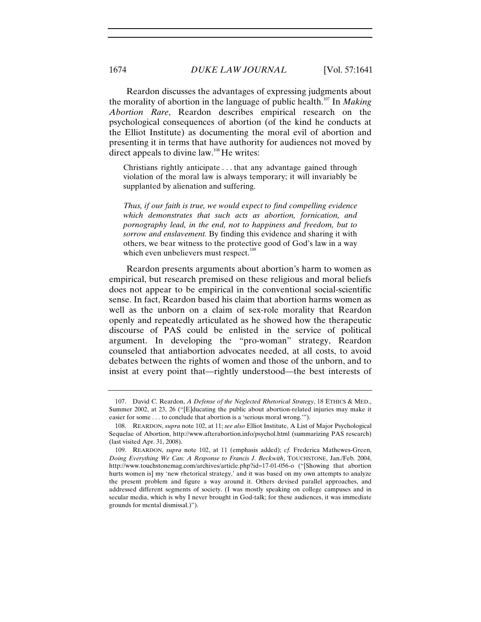Reardon discusses the advantages of expressing judgments about the morality of abortion in the language of public health.<sup>107</sup> In *Making Abortion Rare*, Reardon describes empirical research on the psychological consequences of abortion (of the kind he conducts at the Elliot Institute) as documenting the moral evil of abortion and presenting it in terms that have authority for audiences not moved by direct appeals to divine law.<sup>108</sup> He writes:

Christians rightly anticipate . . . that any advantage gained through violation of the moral law is always temporary; it will invariably be supplanted by alienation and suffering.

*Thus, if our faith is true, we would expect to find compelling evidence which demonstrates that such acts as abortion, fornication, and pornography lead, in the end, not to happiness and freedom, but to sorrow and enslavement.* By finding this evidence and sharing it with others, we bear witness to the protective good of God's law in a way which even unbelievers must respect.<sup>109</sup>

Reardon presents arguments about abortion's harm to women as empirical, but research premised on these religious and moral beliefs does not appear to be empirical in the conventional social-scientific sense. In fact, Reardon based his claim that abortion harms women as well as the unborn on a claim of sex-role morality that Reardon openly and repeatedly articulated as he showed how the therapeutic discourse of PAS could be enlisted in the service of political argument. In developing the "pro-woman" strategy, Reardon counseled that antiabortion advocates needed, at all costs, to avoid debates between the rights of women and those of the unborn, and to insist at every point that—rightly understood—the best interests of

 <sup>107.</sup> David C. Reardon, *A Defense of the Neglected Rhetorical Strategy*, 18 ETHICS & MED., Summer 2002, at 23, 26 ("[E]ducating the public about abortion-related injuries may make it easier for some . . . to conclude that abortion is a 'serious moral wrong.'").

 <sup>108.</sup> REARDON, *supra* note 102, at 11; *see also* Elliot Institute, A List of Major Psychological Sequelae of Abortion, http://www.afterabortion.info/psychol.html (summarizing PAS research) (last visited Apr. 31, 2008).

 <sup>109.</sup> REARDON, *supra* note 102, at 11 (emphasis added); *cf.* Frederica Mathewes-Green, *Doing Everything We Can: A Response to Francis J. Beckwith*, TOUCHSTONE, Jan./Feb. 2004, http://www.touchstonemag.com/archives/article.php?id=17-01-056-o ("[Showing that abortion hurts women is] my 'new rhetorical strategy,' and it was based on my own attempts to analyze the present problem and figure a way around it. Others devised parallel approaches, and addressed different segments of society. (I was mostly speaking on college campuses and in secular media, which is why I never brought in God-talk; for these audiences, it was immediate grounds for mental dismissal.)").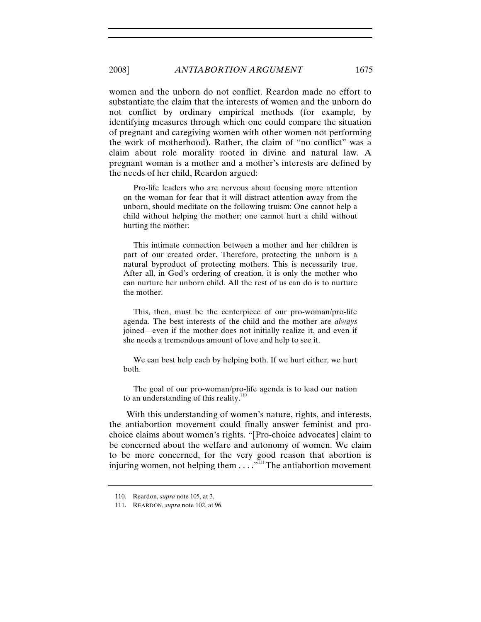women and the unborn do not conflict. Reardon made no effort to substantiate the claim that the interests of women and the unborn do not conflict by ordinary empirical methods (for example, by identifying measures through which one could compare the situation of pregnant and caregiving women with other women not performing the work of motherhood). Rather, the claim of "no conflict" was a claim about role morality rooted in divine and natural law. A pregnant woman is a mother and a mother's interests are defined by the needs of her child, Reardon argued:

 Pro-life leaders who are nervous about focusing more attention on the woman for fear that it will distract attention away from the unborn, should meditate on the following truism: One cannot help a child without helping the mother; one cannot hurt a child without hurting the mother.

 This intimate connection between a mother and her children is part of our created order. Therefore, protecting the unborn is a natural byproduct of protecting mothers. This is necessarily true. After all, in God's ordering of creation, it is only the mother who can nurture her unborn child. All the rest of us can do is to nurture the mother.

 This, then, must be the centerpiece of our pro-woman/pro-life agenda. The best interests of the child and the mother are *always* joined—even if the mother does not initially realize it, and even if she needs a tremendous amount of love and help to see it.

 We can best help each by helping both. If we hurt either, we hurt both.

 The goal of our pro-woman/pro-life agenda is to lead our nation to an understanding of this reality.<sup>110</sup>

With this understanding of women's nature, rights, and interests, the antiabortion movement could finally answer feminist and prochoice claims about women's rights. "[Pro-choice advocates] claim to be concerned about the welfare and autonomy of women. We claim to be more concerned, for the very good reason that abortion is injuring women, not helping them . . . ."111 The antiabortion movement

 <sup>110.</sup> Reardon, *supra* note 105, at 3.

 <sup>111.</sup> REARDON, *supra* note 102, at 96.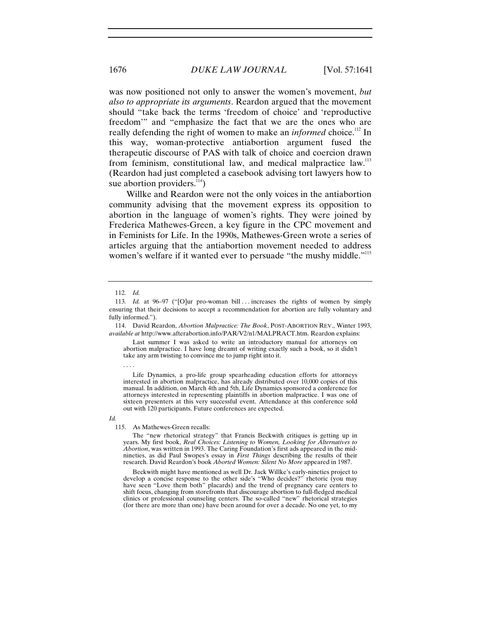was now positioned not only to answer the women's movement, *but also to appropriate its arguments*. Reardon argued that the movement should "take back the terms 'freedom of choice' and 'reproductive freedom'" and "emphasize the fact that we are the ones who are really defending the right of women to make an *informed* choice.<sup>112</sup> In this way, woman-protective antiabortion argument fused the therapeutic discourse of PAS with talk of choice and coercion drawn from feminism, constitutional law, and medical malpractice law.<sup>113</sup> (Reardon had just completed a casebook advising tort lawyers how to sue abortion providers. $114$ )

Willke and Reardon were not the only voices in the antiabortion community advising that the movement express its opposition to abortion in the language of women's rights. They were joined by Frederica Mathewes-Green, a key figure in the CPC movement and in Feminists for Life. In the 1990s, Mathewes-Green wrote a series of articles arguing that the antiabortion movement needed to address women's welfare if it wanted ever to persuade "the mushy middle."<sup>115</sup>

 114. David Reardon, *Abortion Malpractice: The Book*, POST-ABORTION REV., Winter 1993, *available at* http://www.afterabortion.info/PAR/V2/n1/MALPRACT.htm. Reardon explains:

 Last summer I was asked to write an introductory manual for attorneys on abortion malpractice. I have long dreamt of writing exactly such a book, so it didn't take any arm twisting to convince me to jump right into it.

. . . .

 Life Dynamics, a pro-life group spearheading education efforts for attorneys interested in abortion malpractice, has already distributed over 10,000 copies of this manual. In addition, on March 4th and 5th, Life Dynamics sponsored a conference for attorneys interested in representing plaintiffs in abortion malpractice. I was one of sixteen presenters at this very successful event. Attendance at this conference sold out with 120 participants. Future conferences are expected.

*Id.*

115. As Mathewes-Green recalls:

 The "new rhetorical strategy" that Francis Beckwith critiques is getting up in years. My first book, *Real Choices: Listening to Women, Looking for Alternatives to Abortion*, was written in 1993. The Caring Foundation's first ads appeared in the midnineties, as did Paul Swopes's essay in *First Things* describing the results of their research. David Reardon's book *Aborted Women: Silent No More* appeared in 1987.

 Beckwith might have mentioned as well Dr. Jack Willke's early-nineties project to develop a concise response to the other side's "Who decides?" rhetoric (you may have seen "Love them both" placards) and the trend of pregnancy care centers to shift focus, changing from storefronts that discourage abortion to full-fledged medical clinics or professional counseling centers. The so-called "new" rhetorical strategies (for there are more than one) have been around for over a decade. No one yet, to my

<sup>112</sup>*. Id.*

<sup>113.</sup> *Id.* at 96–97 ("[O]ur pro-woman bill ... increases the rights of women by simply ensuring that their decisions to accept a recommendation for abortion are fully voluntary and fully informed.").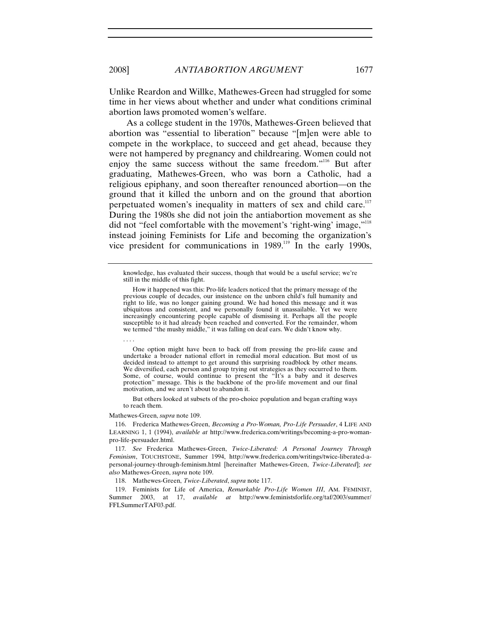Unlike Reardon and Willke, Mathewes-Green had struggled for some time in her views about whether and under what conditions criminal abortion laws promoted women's welfare.

As a college student in the 1970s, Mathewes-Green believed that abortion was "essential to liberation" because "[m]en were able to compete in the workplace, to succeed and get ahead, because they were not hampered by pregnancy and childrearing. Women could not enjoy the same success without the same freedom."<sup>116</sup> But after graduating, Mathewes-Green, who was born a Catholic, had a religious epiphany, and soon thereafter renounced abortion—on the ground that it killed the unborn and on the ground that abortion perpetuated women's inequality in matters of sex and child care.<sup>117</sup> During the 1980s she did not join the antiabortion movement as she did not "feel comfortable with the movement's 'right-wing' image,"<sup>118</sup> instead joining Feminists for Life and becoming the organization's vice president for communications in 1989.<sup>119</sup> In the early 1990s,

 One option might have been to back off from pressing the pro-life cause and undertake a broader national effort in remedial moral education. But most of us decided instead to attempt to get around this surprising roadblock by other means. We diversified, each person and group trying out strategies as they occurred to them. Some, of course, would continue to present the "It's a baby and it deserves protection" message. This is the backbone of the pro-life movement and our final motivation, and we aren't about to abandon it.

 But others looked at subsets of the pro-choice population and began crafting ways to reach them.

#### Mathewes-Green, *supra* note 109.

. . . .

 116. Frederica Mathewes-Green, *Becoming a Pro-Woman, Pro-Life Persuader*, 4 LIFE AND LEARNING 1, 1 (1994), *available at* http://www.frederica.com/writings/becoming-a-pro-womanpro-life-persuader.html.

117*. See* Frederica Mathewes-Green, *Twice-Liberated: A Personal Journey Through Feminism*, TOUCHSTONE, Summer 1994, http://www.frederica.com/writings/twice-liberated-apersonal-journey-through-feminism.html [hereinafter Mathewes-Green, *Twice-Liberated*]; *see also* Mathewes-Green, *supra* note 109.

118. Mathewes-Green, *Twice-Liberated*, *supra* note 117.

 119. Feminists for Life of America, *Remarkable Pro-Life Women III*, AM. FEMINIST, Summer 2003, at 17, *available at* http://www.feministsforlife.org/taf/2003/summer/ FFLSummerTAF03.pdf.

knowledge, has evaluated their success, though that would be a useful service; we're still in the middle of this fight.

How it happened was this: Pro-life leaders noticed that the primary message of the previous couple of decades, our insistence on the unborn child's full humanity and right to life, was no longer gaining ground. We had honed this message and it was ubiquitous and consistent, and we personally found it unassailable. Yet we were increasingly encountering people capable of dismissing it. Perhaps all the people susceptible to it had already been reached and converted. For the remainder, whom we termed "the mushy middle," it was falling on deaf ears. We didn't know why.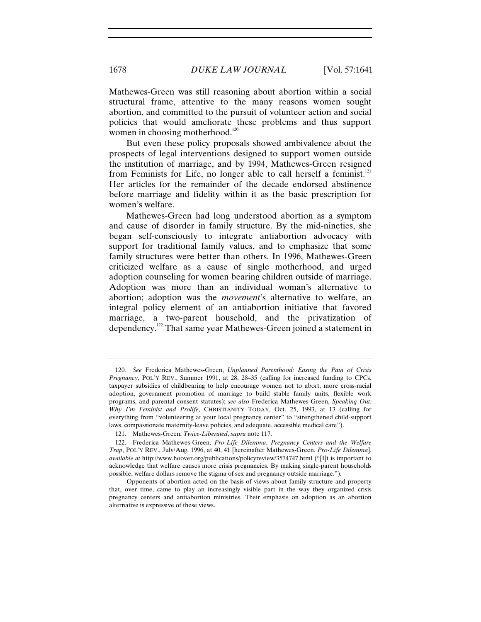Mathewes-Green was still reasoning about abortion within a social structural frame, attentive to the many reasons women sought abortion, and committed to the pursuit of volunteer action and social policies that would ameliorate these problems and thus support women in choosing motherhood.<sup>120</sup>

But even these policy proposals showed ambivalence about the prospects of legal interventions designed to support women outside the institution of marriage, and by 1994, Mathewes-Green resigned from Feminists for Life, no longer able to call herself a feminist.<sup>121</sup> Her articles for the remainder of the decade endorsed abstinence before marriage and fidelity within it as the basic prescription for women's welfare.

Mathewes-Green had long understood abortion as a symptom and cause of disorder in family structure. By the mid-nineties, she began self-consciously to integrate antiabortion advocacy with support for traditional family values, and to emphasize that some family structures were better than others. In 1996, Mathewes-Green criticized welfare as a cause of single motherhood, and urged adoption counseling for women bearing children outside of marriage. Adoption was more than an individual woman's alternative to abortion; adoption was the *movement*'s alternative to welfare, an integral policy element of an antiabortion initiative that favored marriage, a two-parent household, and the privatization of dependency.122 That same year Mathewes-Green joined a statement in

<sup>120</sup>*. See* Frederica Mathewes-Green, *Unplanned Parenthood: Easing the Pain of Crisis Pregnancy*, POL'Y REV., Summer 1991, at 28, 28–35 (calling for increased funding to CPCs, taxpayer subsidies of childbearing to help encourage women not to abort, more cross-racial adoption, government promotion of marriage to build stable family units, flexible work programs, and parental consent statutes); *see also* Frederica Mathewes-Green, *Speaking Out: Why I'm Feminist and Prolife*, CHRISTIANITY TODAY, Oct. 25, 1993, at 13 (calling for everything from "volunteering at your local pregnancy center" to "strengthened child-support laws, compassionate maternity-leave policies, and adequate, accessible medical care").

 <sup>121.</sup> Mathewes-Green, *Twice-Liberated*, *supra* note 117.

 <sup>122.</sup> Frederica Mathewes-Green, *Pro-Life Dilemma*, *Pregnancy Centers and the Welfare Trap*, POL'Y REV., July/Aug. 1996, at 40, 41 [hereinafter Mathewes-Green, *Pro-Life Dilemma*], *available at* http://www.hoover.org/publications/policyreview/3574747.html ("[I]t is important to acknowledge that welfare causes more crisis pregnancies. By making single-parent households possible, welfare dollars remove the stigma of sex and pregnancy outside marriage.").

Opponents of abortion acted on the basis of views about family structure and property that, over time, came to play an increasingly visible part in the way they organized crisis pregnancy centers and antiabortion ministries. Their emphasis on adoption as an abortion alternative is expressive of these views.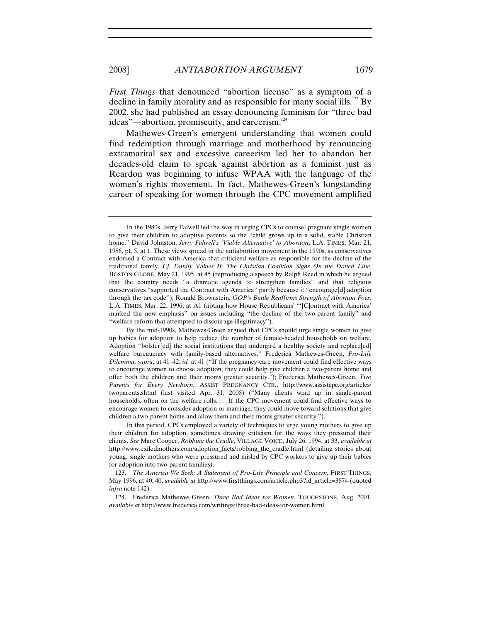*First Things* that denounced "abortion license" as a symptom of a decline in family morality and as responsible for many social ills.<sup>123</sup> By 2002, she had published an essay denouncing feminism for "three bad ideas"—abortion, promiscuity, and careerism.<sup>124</sup>

Mathewes-Green's emergent understanding that women could find redemption through marriage and motherhood by renouncing extramarital sex and excessive careerism led her to abandon her decades-old claim to speak against abortion as a feminist just as Reardon was beginning to infuse WPAA with the language of the women's rights movement. In fact, Mathewes-Green's longstanding career of speaking for women through the CPC movement amplified

In the 1980s, Jerry Falwell led the way in urging CPCs to counsel pregnant single women to give their children to adoptive parents so the "child grows up in a solid, stable Christian home." David Johnston, *Jerry Falwell's 'Viable Alternative' to Abortion*, L.A. TIMES, Mar. 21, 1986, pt. 5, at 1. These views spread in the antiabortion movement in the 1990s, as conservatives endorsed a Contract with America that criticized welfare as responsible for the decline of the traditional family. *Cf. Family Values II: The Christian Coalition Signs On the Dotted Line*, BOSTON GLOBE, May 21, 1995, at 45 (reproducing a speech by Ralph Reed in which he argued that the country needs "a dramatic agenda to strengthen families" and that religious conservatives "supported the Contract with America" partly because it "encourage[d] adoption through the tax code"); Ronald Brownstein, *GOP's Battle Reaffirms Strength of Abortion Foes*, L.A. TIMES, Mar. 22, 1996, at A1 (noting how House Republicans' "'[C]ontract with America' marked the new emphasis" on issues including "the decline of the two-parent family" and "welfare reform that attempted to discourage illegitimacy").

By the mid-1990s, Mathewes-Green argued that CPCs should urge single women to give up babies for adoption to help reduce the number of female-headed households on welfare. Adoption "bolster[ed] the social institutions that undergird a healthy society and replace[ed] welfare bureaucracy with family-based alternatives." Frederica Mathewes-Green, *Pro-Life Dilemma*, *supra*, at 41–42; *id.* at 41 ("If the pregnancy-care movement could find effective ways to encourage women to choose adoption, they could help give children a two-parent home and offer both the children and their moms greater security."); Frederica Mathewes-Green, *Two Parents for Every Newborn*, ASSIST PREGNANCY CTR., http://www.assistcpc.org/articles/ twoparents.shtml (last visited Apr. 31, 2008) ("Many clients wind up in single-parent households, often on the welfare rolls. . . If the CPC movement could find effective ways to encourage women to consider adoption or marriage, they could move toward solutions that give children a two-parent home and allow them and their moms greater security.").

In this period, CPCs employed a variety of techniques to urge young mothers to give up their children for adoption, sometimes drawing criticism for the ways they pressured their clients. *See* Marc Cooper, *Robbing the Cradle*, VILLAGE VOICE, July 26, 1994, at 33, *available at* http://www.exiledmothers.com/adoption\_facts/robbing\_the\_cradle.html (detailing stories about young, single mothers who were pressured and misled by CPC workers to give up their babies for adoption into two-parent families).

 <sup>123.</sup> *The America We Seek: A Statement of Pro-Life Principle and Concern*, FIRST THINGS, May 1996, at 40, 40, *available at* http://www.firstthings.com/article.php3?id\_article=3874 (quoted *infra* note 142).

 <sup>124.</sup> Frederica Mathewes-Green, *Three Bad Ideas for Women*, TOUCHSTONE, Aug. 2001, *available at* http://www.frederica.com/writings/three-bad-ideas-for-women.html.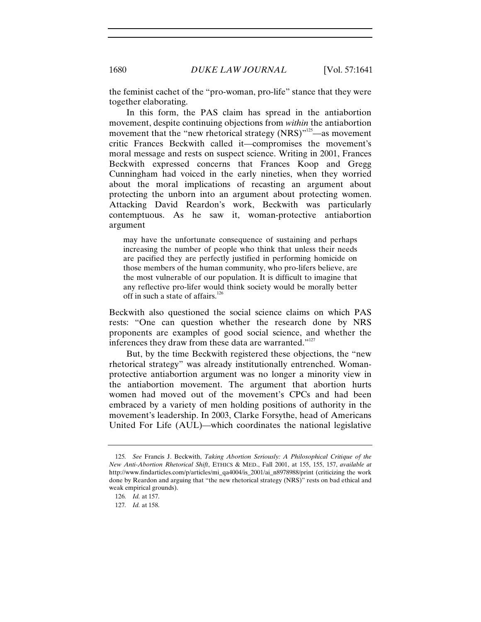the feminist cachet of the "pro-woman, pro-life" stance that they were together elaborating.

In this form, the PAS claim has spread in the antiabortion movement, despite continuing objections from *within* the antiabortion movement that the "new rhetorical strategy  $(NRS)$ "<sup>125</sup>—as movement critic Frances Beckwith called it—compromises the movement's moral message and rests on suspect science. Writing in 2001, Frances Beckwith expressed concerns that Frances Koop and Gregg Cunningham had voiced in the early nineties, when they worried about the moral implications of recasting an argument about protecting the unborn into an argument about protecting women. Attacking David Reardon's work, Beckwith was particularly contemptuous. As he saw it, woman-protective antiabortion argument

may have the unfortunate consequence of sustaining and perhaps increasing the number of people who think that unless their needs are pacified they are perfectly justified in performing homicide on those members of the human community, who pro-lifers believe, are the most vulnerable of our population. It is difficult to imagine that any reflective pro-lifer would think society would be morally better off in such a state of affairs.<sup>126</sup>

Beckwith also questioned the social science claims on which PAS rests: "One can question whether the research done by NRS proponents are examples of good social science, and whether the inferences they draw from these data are warranted."<sup>127</sup>

But, by the time Beckwith registered these objections, the "new rhetorical strategy" was already institutionally entrenched. Womanprotective antiabortion argument was no longer a minority view in the antiabortion movement. The argument that abortion hurts women had moved out of the movement's CPCs and had been embraced by a variety of men holding positions of authority in the movement's leadership. In 2003, Clarke Forsythe, head of Americans United For Life (AUL)—which coordinates the national legislative

<sup>125</sup>*. See* Francis J. Beckwith, *Taking Abortion Seriously: A Philosophical Critique of the New Anti-Abortion Rhetorical Shift*, ETHICS & MED., Fall 2001, at 155, 155, 157, *available at* http://www.findarticles.com/p/articles/mi\_qa4004/is\_2001/ai\_n8978988/print (criticizing the work done by Reardon and arguing that "the new rhetorical strategy (NRS)" rests on bad ethical and weak empirical grounds).

<sup>126</sup>*. Id.* at 157.

<sup>127</sup>*. Id.* at 158.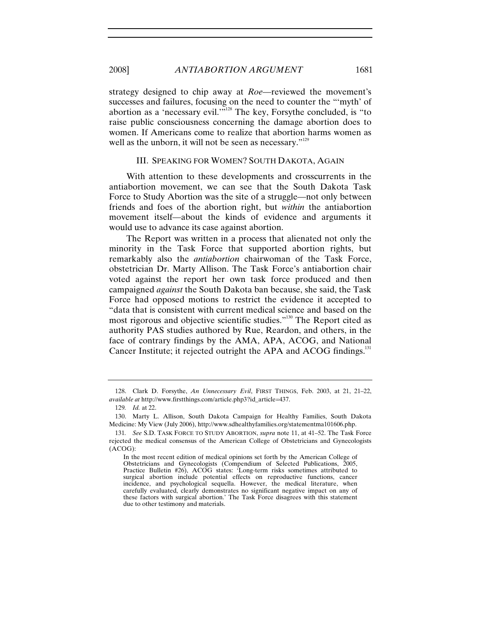strategy designed to chip away at *Roe*—reviewed the movement's successes and failures, focusing on the need to counter the "'myth' of abortion as a 'necessary evil.'"128 The key, Forsythe concluded, is "to raise public consciousness concerning the damage abortion does to women. If Americans come to realize that abortion harms women as well as the unborn, it will not be seen as necessary."<sup>129</sup>

## III. SPEAKING FOR WOMEN? SOUTH DAKOTA, AGAIN

With attention to these developments and crosscurrents in the antiabortion movement, we can see that the South Dakota Task Force to Study Abortion was the site of a struggle—not only between friends and foes of the abortion right, but *within* the antiabortion movement itself—about the kinds of evidence and arguments it would use to advance its case against abortion.

The Report was written in a process that alienated not only the minority in the Task Force that supported abortion rights, but remarkably also the *antiabortion* chairwoman of the Task Force, obstetrician Dr. Marty Allison. The Task Force's antiabortion chair voted against the report her own task force produced and then campaigned *against* the South Dakota ban because, she said, the Task Force had opposed motions to restrict the evidence it accepted to "data that is consistent with current medical science and based on the most rigorous and objective scientific studies."130 The Report cited as authority PAS studies authored by Rue, Reardon, and others, in the face of contrary findings by the AMA, APA, ACOG, and National Cancer Institute; it rejected outright the APA and ACOG findings.<sup>131</sup>

 <sup>128.</sup> Clark D. Forsythe, *An Unnecessary Evil*, FIRST THINGS, Feb. 2003, at 21, 21–22, *available at* http://www.firstthings.com/article.php3?id\_article=437.

<sup>129</sup>*. Id.* at 22.

 <sup>130.</sup> Marty L. Allison, South Dakota Campaign for Healthy Families, South Dakota Medicine: My View (July 2006), http://www.sdhealthyfamilies.org/statementma101606.php.

<sup>131</sup>*. See* S.D. TASK FORCE TO STUDY ABORTION, *supra* note 11, at 41–52. The Task Force rejected the medical consensus of the American College of Obstetricians and Gynecologists (ACOG):

In the most recent edition of medical opinions set forth by the American College of Obstetricians and Gynecologists (Compendium of Selected Publications, 2005, Practice Bulletin #26), ACOG states: 'Long-term risks sometimes attributed to surgical abortion include potential effects on reproductive functions, cancer incidence, and psychological sequella. However, the medical literature, when carefully evaluated, clearly demonstrates no significant negative impact on any of these factors with surgical abortion.' The Task Force disagrees with this statement due to other testimony and materials.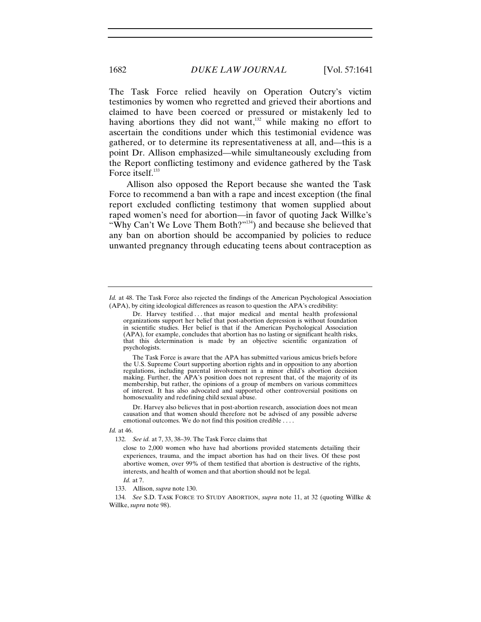The Task Force relied heavily on Operation Outcry's victim testimonies by women who regretted and grieved their abortions and claimed to have been coerced or pressured or mistakenly led to having abortions they did not want, $132$  while making no effort to ascertain the conditions under which this testimonial evidence was gathered, or to determine its representativeness at all, and—this is a point Dr. Allison emphasized—while simultaneously excluding from the Report conflicting testimony and evidence gathered by the Task Force itself.<sup>133</sup>

Allison also opposed the Report because she wanted the Task Force to recommend a ban with a rape and incest exception (the final report excluded conflicting testimony that women supplied about raped women's need for abortion—in favor of quoting Jack Willke's "Why Can't We Love Them Both?"<sup>134</sup>) and because she believed that any ban on abortion should be accompanied by policies to reduce unwanted pregnancy through educating teens about contraception as

 Dr. Harvey also believes that in post-abortion research, association does not mean causation and that women should therefore not be advised of any possible adverse emotional outcomes. We do not find this position credible . . . .

*Id.* at 48. The Task Force also rejected the findings of the American Psychological Association (APA), by citing ideological differences as reason to question the APA's credibility:

Dr. Harvey testified ... that major medical and mental health professional organizations support her belief that post-abortion depression is without foundation in scientific studies. Her belief is that if the American Psychological Association (APA), for example, concludes that abortion has no lasting or significant health risks, that this determination is made by an objective scientific organization of psychologists.

The Task Force is aware that the APA has submitted various amicus briefs before the U.S. Supreme Court supporting abortion rights and in opposition to any abortion regulations, including parental involvement in a minor child's abortion decision making. Further, the APA's position does not represent that, of the majority of its membership, but rather, the opinions of a group of members on various committees of interest. It has also advocated and supported other controversial positions on homosexuality and redefining child sexual abuse.

*Id.* at 46.

<sup>132</sup>*. See id.* at 7, 33, 38–39. The Task Force claims that

close to 2,000 women who have had abortions provided statements detailing their experiences, trauma, and the impact abortion has had on their lives. Of these post abortive women, over 99% of them testified that abortion is destructive of the rights, interests, and health of women and that abortion should not be legal.

*Id.* at 7.

 <sup>133.</sup> Allison, *supra* note 130.

<sup>134</sup>*. See* S.D. TASK FORCE TO STUDY ABORTION, *supra* note 11, at 32 (quoting Willke & Willke, *supra* note 98).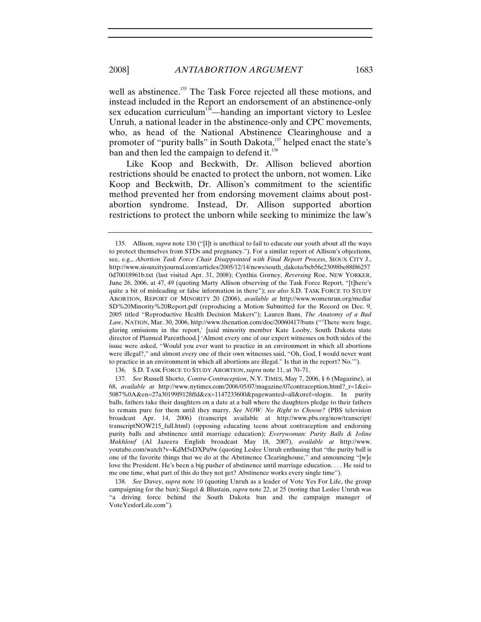well as abstinence.<sup>135</sup> The Task Force rejected all these motions, and instead included in the Report an endorsement of an abstinence-only sex education curriculum<sup>136</sup>—handing an important victory to Leslee Unruh, a national leader in the abstinence-only and CPC movements, who, as head of the National Abstinence Clearinghouse and a promoter of "purity balls" in South Dakota,<sup>137</sup> helped enact the state's ban and then led the campaign to defend it.<sup>138</sup>

Like Koop and Beckwith, Dr. Allison believed abortion restrictions should be enacted to protect the unborn, not women. Like Koop and Beckwith, Dr. Allison's commitment to the scientific method prevented her from endorsing movement claims about postabortion syndrome. Instead, Dr. Allison supported abortion restrictions to protect the unborn while seeking to minimize the law's

136. S.D. TASK FORCE TO STUDY ABORTION, *supra* note 11, at 70–71.

 <sup>135.</sup> Allison, *supra* note 130 ("[I]t is unethical to fail to educate our youth about all the ways to protect themselves from STDs and pregnancy."). For a similar report of Allison's objections, see, e.g., *Abortion Task Force Chair Disappointed with Final Report Process*, SIOUX CITY J., http://www.siouxcityjournal.com/articles/2005/12/14/news/south\_dakota/bcb56c23098be88f86257 0d70018961b.txt (last visited Apr. 31, 2008); Cynthia Gorney, *Reversing* Roe, NEW YORKER, June 26, 2006, at 47, 49 (quoting Marty Allison observing of the Task Force Report, "[t]here's quite a bit of misleading or false information in there"); *see also* S.D. TASK FORCE TO STUDY ABORTION, REPORT OF MINORITY 20 (2006), *available at* http://www.womenrun.org/media/ SD%20Minority%20Report.pdf (reproducing a Motion Submitted for the Record on Dec. 9, 2005 titled "Reproductive Health Decision Makers"); Lauren Bans, *The Anatomy of a Bad Law*, NATION, Mar. 30, 2006, http://www.thenation.com/doc/20060417/bans ("'There were huge, glaring omissions in the report,' [said minority member Kate Looby, South Dakota state director of Planned Parenthood.] 'Almost every one of our expert witnesses on both sides of the issue were asked, "Would you ever want to practice in an environment in which all abortions were illegal?," and almost every one of their own witnesses said, "Oh, God, I would never want to practice in an environment in which all abortions are illegal." Is that in the report? No.'").

<sup>137</sup>*. See* Russell Shorto, *Contra-Contraception*, N.Y. TIMES, May 7, 2006, § 6 (Magazine), at 68, *available at* http://www.nytimes.com/2006/05/07/magazine/07contraception.html?\_r=1&ei= 5087%0A&en=27a30199f9128ffd&ex=1147233600&pagewanted=all&oref=slogin. In purity balls, fathers take their daughters on a date at a ball where the daughters pledge to their fathers to remain pure for them until they marry. *See NOW: No Right to Choose?* (PBS television broadcast Apr. 14, 2006) (transcript available at http://www.pbs.org/now/transcript/ transcriptNOW215\_full.html) (opposing educating teens about contraception and endorsing purity balls and abstinence until marriage education); *Everywoman: Purity Balls & Joline Makhlouf* (Al Jazeera English broadcast May 18, 2007), *available at* http://www. youtube.com/watch?v=KdM5sDXPu9w (quoting Leslee Unruh enthusing that "the purity ball is one of the favorite things that we do at the Abstinence Clearinghouse," and announcing "[w]e love the President. He's been a big pusher of abstinence until marriage education. . . . He said to me one time, what part of this do they not get? Abstinence works every single time").

<sup>138</sup>*. See* Davey, *supra* note 10 (quoting Unruh as a leader of Vote Yes For Life, the group campaigning for the ban); Siegel & Blustain, *supra* note 22, at 25 (noting that Leslee Unruh was "a driving force behind the South Dakota ban and the campaign manager of VoteYesforLife.com").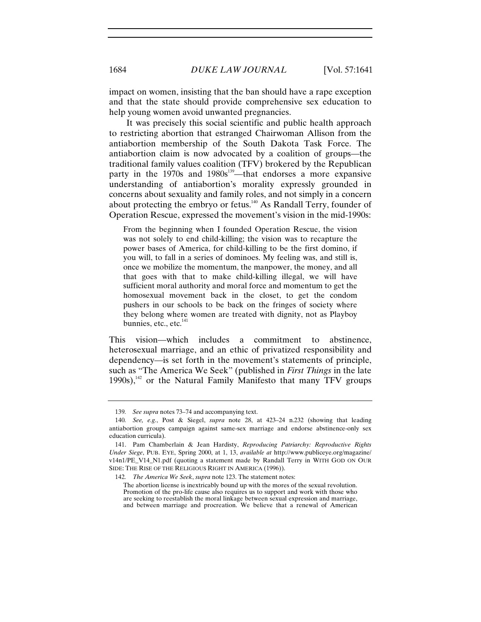impact on women, insisting that the ban should have a rape exception and that the state should provide comprehensive sex education to help young women avoid unwanted pregnancies.

It was precisely this social scientific and public health approach to restricting abortion that estranged Chairwoman Allison from the antiabortion membership of the South Dakota Task Force. The antiabortion claim is now advocated by a coalition of groups—the traditional family values coalition (TFV) brokered by the Republican party in the  $1970s$  and  $1980s^{139}$ —that endorses a more expansive understanding of antiabortion's morality expressly grounded in concerns about sexuality and family roles, and not simply in a concern about protecting the embryo or fetus.<sup>140</sup> As Randall Terry, founder of Operation Rescue, expressed the movement's vision in the mid-1990s:

From the beginning when I founded Operation Rescue, the vision was not solely to end child-killing; the vision was to recapture the power bases of America, for child-killing to be the first domino, if you will, to fall in a series of dominoes. My feeling was, and still is, once we mobilize the momentum, the manpower, the money, and all that goes with that to make child-killing illegal, we will have sufficient moral authority and moral force and momentum to get the homosexual movement back in the closet, to get the condom pushers in our schools to be back on the fringes of society where they belong where women are treated with dignity, not as Playboy bunnies, etc., etc.<sup>141</sup>

This vision—which includes a commitment to abstinence, heterosexual marriage, and an ethic of privatized responsibility and dependency—is set forth in the movement's statements of principle, such as "The America We Seek" (published in *First Things* in the late 1990s), $142$  or the Natural Family Manifesto that many TFV groups

<sup>139</sup>*. See supra* notes 73–74 and accompanying text.

<sup>140</sup>*. See, e.g.*, Post & Siegel, *supra* note 28, at 423–24 n.232 (showing that leading antiabortion groups campaign against same-sex marriage and endorse abstinence-only sex education curricula).

 <sup>141.</sup> Pam Chamberlain & Jean Hardisty, *Reproducing Patriarchy: Reproductive Rights Under Siege*, PUB. EYE, Spring 2000, at 1, 13, *available at* http://www.publiceye.org/magazine/ v14n1/PE\_V14\_N1.pdf (quoting a statement made by Randall Terry in WITH GOD ON OUR SIDE: THE RISE OF THE RELIGIOUS RIGHT IN AMERICA (1996)).

<sup>142</sup>*. The America We Seek*, *supra* note 123. The statement notes:

The abortion license is inextricably bound up with the mores of the sexual revolution. Promotion of the pro-life cause also requires us to support and work with those who are seeking to reestablish the moral linkage between sexual expression and marriage, and between marriage and procreation. We believe that a renewal of American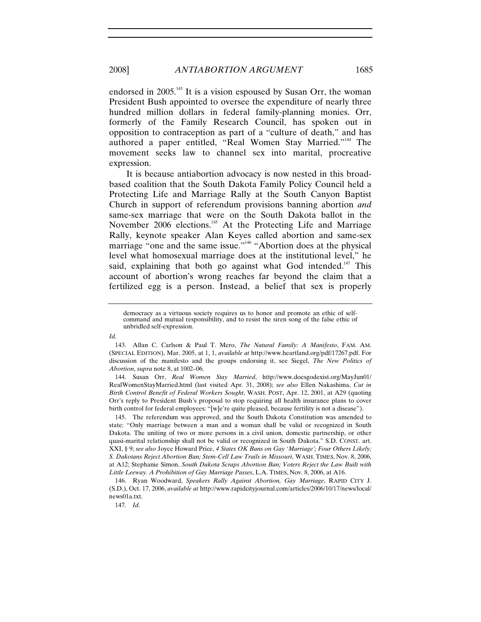endorsed in 2005.<sup>143</sup> It is a vision espoused by Susan Orr, the woman President Bush appointed to oversee the expenditure of nearly three hundred million dollars in federal family-planning monies. Orr, formerly of the Family Research Council, has spoken out in opposition to contraception as part of a "culture of death," and has authored a paper entitled, "Real Women Stay Married."<sup>144</sup> The movement seeks law to channel sex into marital, procreative expression.

It is because antiabortion advocacy is now nested in this broadbased coalition that the South Dakota Family Policy Council held a Protecting Life and Marriage Rally at the South Canyon Baptist Church in support of referendum provisions banning abortion *and* same-sex marriage that were on the South Dakota ballot in the November 2006 elections.<sup>145</sup> At the Protecting Life and Marriage Rally, keynote speaker Alan Keyes called abortion and same-sex marriage "one and the same issue."<sup>146</sup> "Abortion does at the physical level what homosexual marriage does at the institutional level," he said, explaining that both go against what God intended.<sup>147</sup> This account of abortion's wrong reaches far beyond the claim that a fertilized egg is a person. Instead, a belief that sex is properly

*Id.*

 144. Susan Orr, *Real Women Stay Married*, http://www.doesgodexist.org/MayJun01/ RealWomenStayMarried.html (last visited Apr. 31, 2008); *see also* Ellen Nakashima, *Cut in Birth Control Benefit of Federal Workers Sought*, WASH. POST, Apr. 12, 2001, at A29 (quoting Orr's reply to President Bush's proposal to stop requiring all health insurance plans to cover birth control for federal employees: "[w]e're quite pleased, because fertility is not a disease").

 145. The referendum was approved, and the South Dakota Constitution was amended to state: "Only marriage between a man and a woman shall be valid or recognized in South Dakota. The uniting of two or more persons in a civil union, domestic partnership, or other quasi-marital relationship shall not be valid or recognized in South Dakota." S.D. CONST. art. XXI, § 9; *see also* Joyce Howard Price, *4 States OK Bans on Gay 'Marriage'; Four Others Likely; S. Dakotans Reject Abortion Ban; Stem-Cell Law Trails in Missouri*, WASH. TIMES, Nov. 8, 2006, at A12; Stephanie Simon, *South Dakota Scraps Abortion Ban; Voters Reject the Law Built with Little Leeway. A Prohibition of Gay Marriage Passes*, L.A. TIMES, Nov. 8, 2006, at A16.

democracy as a virtuous society requires us to honor and promote an ethic of selfcommand and mutual responsibility, and to resist the siren song of the false ethic of unbridled self-expression.

 <sup>143.</sup> Allan C. Carlson & Paul T. Mero, *The Natural Family: A Manifesto*, FAM. AM. (SPECIAL EDITION), Mar. 2005, at 1, 1, *available at* http://www.heartland.org/pdf/17267.pdf. For discussion of the manifesto and the groups endorsing it, see Siegel, *The New Politics of Abortion*, *supra* note 8, at 1002–06.

 <sup>146.</sup> Ryan Woodward, *Speakers Rally Against Abortion, Gay Marriage*, RAPID CITY J. (S.D.), Oct. 17, 2006, *available at* http://www.rapidcityjournal.com/articles/2006/10/17/news/local/ news01a.txt.

<sup>147</sup>*. Id.*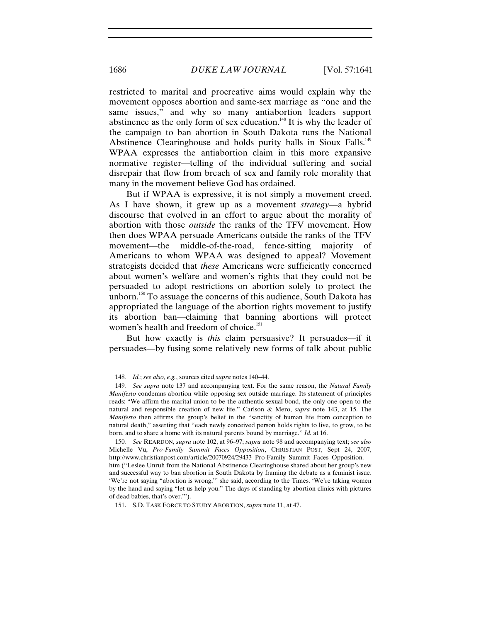restricted to marital and procreative aims would explain why the movement opposes abortion and same-sex marriage as "one and the same issues," and why so many antiabortion leaders support abstinence as the only form of sex education.<sup>148</sup> It is why the leader of the campaign to ban abortion in South Dakota runs the National Abstinence Clearinghouse and holds purity balls in Sioux Falls.<sup>149</sup> WPAA expresses the antiabortion claim in this more expansive normative register—telling of the individual suffering and social disrepair that flow from breach of sex and family role morality that many in the movement believe God has ordained.

But if WPAA is expressive, it is not simply a movement creed. As I have shown, it grew up as a movement *strategy—*a hybrid discourse that evolved in an effort to argue about the morality of abortion with those *outside* the ranks of the TFV movement. How then does WPAA persuade Americans outside the ranks of the TFV movement—the middle-of-the-road, fence-sitting majority of Americans to whom WPAA was designed to appeal? Movement strategists decided that *these* Americans were sufficiently concerned about women's welfare and women's rights that they could not be persuaded to adopt restrictions on abortion solely to protect the unborn.<sup>150</sup> To assuage the concerns of this audience, South Dakota has appropriated the language of the abortion rights movement to justify its abortion ban—claiming that banning abortions will protect women's health and freedom of choice.<sup>151</sup>

But how exactly is *this* claim persuasive? It persuades—if it persuades—by fusing some relatively new forms of talk about public

of dead babies, that's over.'").

<sup>148</sup>*. Id.*; *see also, e.g.*, sources cited *supra* notes 140–44.

<sup>149</sup>*. See supra* note 137 and accompanying text. For the same reason, the *Natural Family Manifesto* condemns abortion while opposing sex outside marriage. Its statement of principles reads: "We affirm the marital union to be the authentic sexual bond, the only one open to the natural and responsible creation of new life." Carlson & Mero, *supra* note 143, at 15. The *Manifesto* then affirms the group's belief in the "sanctity of human life from conception to natural death," asserting that "each newly conceived person holds rights to live, to grow, to be born, and to share a home with its natural parents bound by marriage." *Id.* at 16.

<sup>150</sup>*. See* REARDON, *supra* note 102, at 96–97; *supra* note 98 and accompanying text; *see also* Michelle Vu, *Pro-Family Summit Faces Opposition*, CHRISTIAN POST, Sept 24, 2007, http://www.christianpost.com/article/20070924/29433\_Pro-Family\_Summit\_Faces\_Opposition. htm ("Leslee Unruh from the National Abstinence Clearinghouse shared about her group's new and successful way to ban abortion in South Dakota by framing the debate as a feminist issue. 'We're not saying "abortion is wrong,"' she said, according to the Times. 'We're taking women by the hand and saying "let us help you." The days of standing by abortion clinics with pictures

 <sup>151.</sup> S.D. TASK FORCE TO STUDY ABORTION, *supra* note 11, at 47.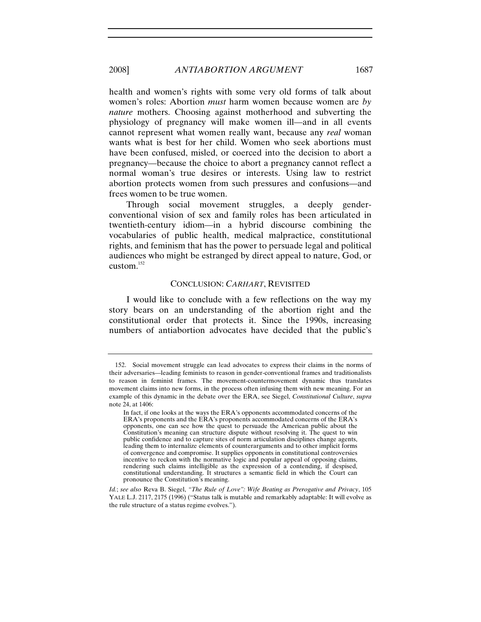health and women's rights with some very old forms of talk about women's roles: Abortion *must* harm women because women are *by nature* mothers. Choosing against motherhood and subverting the physiology of pregnancy will make women ill—and in all events cannot represent what women really want, because any *real* woman wants what is best for her child. Women who seek abortions must have been confused, misled, or coerced into the decision to abort a pregnancy—because the choice to abort a pregnancy cannot reflect a normal woman's true desires or interests. Using law to restrict abortion protects women from such pressures and confusions—and frees women to be true women.

Through social movement struggles, a deeply genderconventional vision of sex and family roles has been articulated in twentieth-century idiom—in a hybrid discourse combining the vocabularies of public health, medical malpractice, constitutional rights, and feminism that has the power to persuade legal and political audiences who might be estranged by direct appeal to nature, God, or custom. $152$ 

#### CONCLUSION: *CARHART*, REVISITED

I would like to conclude with a few reflections on the way my story bears on an understanding of the abortion right and the constitutional order that protects it. Since the 1990s, increasing numbers of antiabortion advocates have decided that the public's

 <sup>152.</sup> Social movement struggle can lead advocates to express their claims in the norms of their adversaries—leading feminists to reason in gender-conventional frames and traditionalists to reason in feminist frames. The movement-countermovement dynamic thus translates movement claims into new forms, in the process often infusing them with new meaning. For an example of this dynamic in the debate over the ERA, see Siegel, *Constitutional Culture*, *supra* note 24, at 1406:

In fact, if one looks at the ways the ERA's opponents accommodated concerns of the ERA's proponents and the ERA's proponents accommodated concerns of the ERA's opponents, one can see how the quest to persuade the American public about the Constitution's meaning can structure dispute without resolving it. The quest to win public confidence and to capture sites of norm articulation disciplines change agents, leading them to internalize elements of counterarguments and to other implicit forms of convergence and compromise. It supplies opponents in constitutional controversies incentive to reckon with the normative logic and popular appeal of opposing claims, rendering such claims intelligible as the expression of a contending, if despised, constitutional understanding. It structures a semantic field in which the Court can pronounce the Constitution's meaning.

*Id.*; *see also* Reva B. Siegel, *"The Rule of Love": Wife Beating as Prerogative and Privacy*, 105 YALE L.J. 2117, 2175 (1996) ("Status talk is mutable and remarkably adaptable: It will evolve as the rule structure of a status regime evolves.").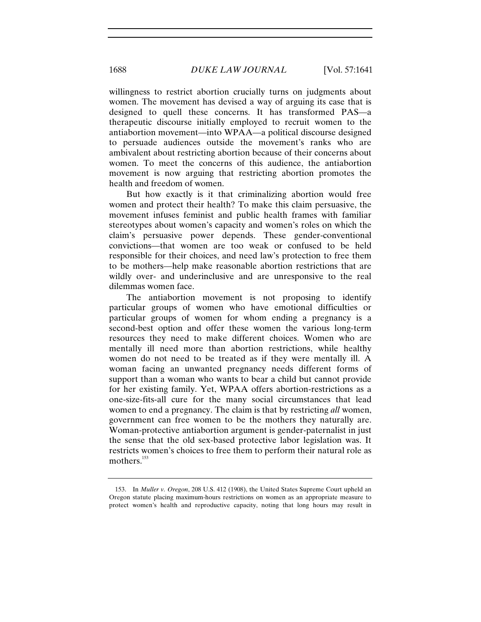willingness to restrict abortion crucially turns on judgments about women. The movement has devised a way of arguing its case that is designed to quell these concerns. It has transformed PAS—a therapeutic discourse initially employed to recruit women to the antiabortion movement—into WPAA—a political discourse designed to persuade audiences outside the movement's ranks who are ambivalent about restricting abortion because of their concerns about women. To meet the concerns of this audience, the antiabortion movement is now arguing that restricting abortion promotes the health and freedom of women.

But how exactly is it that criminalizing abortion would free women and protect their health? To make this claim persuasive, the movement infuses feminist and public health frames with familiar stereotypes about women's capacity and women's roles on which the claim's persuasive power depends. These gender-conventional convictions—that women are too weak or confused to be held responsible for their choices, and need law's protection to free them to be mothers—help make reasonable abortion restrictions that are wildly over- and underinclusive and are unresponsive to the real dilemmas women face.

The antiabortion movement is not proposing to identify particular groups of women who have emotional difficulties or particular groups of women for whom ending a pregnancy is a second-best option and offer these women the various long-term resources they need to make different choices. Women who are mentally ill need more than abortion restrictions, while healthy women do not need to be treated as if they were mentally ill. A woman facing an unwanted pregnancy needs different forms of support than a woman who wants to bear a child but cannot provide for her existing family. Yet, WPAA offers abortion-restrictions as a one-size-fits-all cure for the many social circumstances that lead women to end a pregnancy. The claim is that by restricting *all* women, government can free women to be the mothers they naturally are. Woman-protective antiabortion argument is gender-paternalist in just the sense that the old sex-based protective labor legislation was. It restricts women's choices to free them to perform their natural role as mothers. $153$ 

 <sup>153.</sup> In *Muller v. Oregon*, 208 U.S. 412 (1908), the United States Supreme Court upheld an Oregon statute placing maximum-hours restrictions on women as an appropriate measure to protect women's health and reproductive capacity, noting that long hours may result in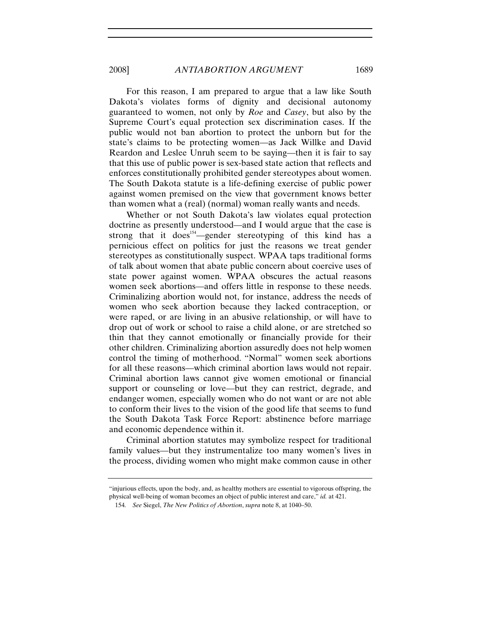For this reason, I am prepared to argue that a law like South Dakota's violates forms of dignity and decisional autonomy guaranteed to women, not only by *Roe* and *Casey*, but also by the Supreme Court's equal protection sex discrimination cases. If the public would not ban abortion to protect the unborn but for the state's claims to be protecting women—as Jack Willke and David Reardon and Leslee Unruh seem to be saying—then it is fair to say that this use of public power is sex-based state action that reflects and enforces constitutionally prohibited gender stereotypes about women. The South Dakota statute is a life-defining exercise of public power against women premised on the view that government knows better than women what a (real) (normal) woman really wants and needs.

Whether or not South Dakota's law violates equal protection doctrine as presently understood—and I would argue that the case is strong that it does<sup>154</sup>—gender stereotyping of this kind has a pernicious effect on politics for just the reasons we treat gender stereotypes as constitutionally suspect. WPAA taps traditional forms of talk about women that abate public concern about coercive uses of state power against women. WPAA obscures the actual reasons women seek abortions—and offers little in response to these needs. Criminalizing abortion would not, for instance, address the needs of women who seek abortion because they lacked contraception, or were raped, or are living in an abusive relationship, or will have to drop out of work or school to raise a child alone, or are stretched so thin that they cannot emotionally or financially provide for their other children. Criminalizing abortion assuredly does not help women control the timing of motherhood. "Normal" women seek abortions for all these reasons—which criminal abortion laws would not repair. Criminal abortion laws cannot give women emotional or financial support or counseling or love—but they can restrict, degrade, and endanger women, especially women who do not want or are not able to conform their lives to the vision of the good life that seems to fund the South Dakota Task Force Report: abstinence before marriage and economic dependence within it.

Criminal abortion statutes may symbolize respect for traditional family values—but they instrumentalize too many women's lives in the process, dividing women who might make common cause in other

<sup>&</sup>quot;injurious effects, upon the body, and, as healthy mothers are essential to vigorous offspring, the physical well-being of woman becomes an object of public interest and care," *id.* at 421.

<sup>154</sup>*. See* Siegel, *The New Politics of Abortion*, *supra* note 8, at 1040–50.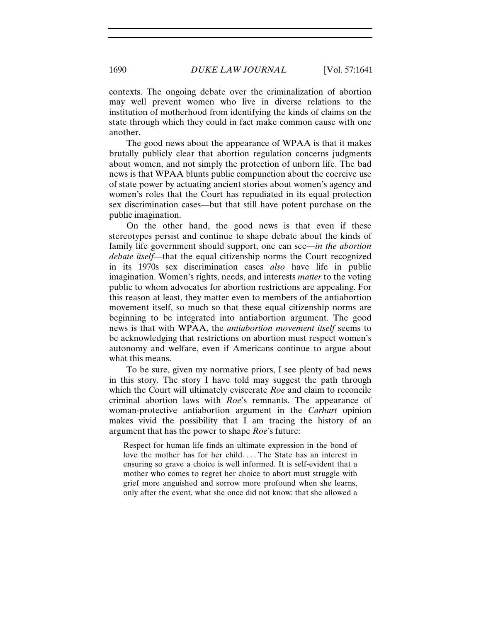contexts. The ongoing debate over the criminalization of abortion may well prevent women who live in diverse relations to the institution of motherhood from identifying the kinds of claims on the state through which they could in fact make common cause with one another.

The good news about the appearance of WPAA is that it makes brutally publicly clear that abortion regulation concerns judgments about women, and not simply the protection of unborn life. The bad news is that WPAA blunts public compunction about the coercive use of state power by actuating ancient stories about women's agency and women's roles that the Court has repudiated in its equal protection sex discrimination cases—but that still have potent purchase on the public imagination.

On the other hand, the good news is that even if these stereotypes persist and continue to shape debate about the kinds of family life government should support, one can see—*in the abortion debate itself*—that the equal citizenship norms the Court recognized in its 1970s sex discrimination cases *also* have life in public imagination. Women's rights, needs, and interests *matter* to the voting public to whom advocates for abortion restrictions are appealing. For this reason at least, they matter even to members of the antiabortion movement itself, so much so that these equal citizenship norms are beginning to be integrated into antiabortion argument. The good news is that with WPAA, the *antiabortion movement itself* seems to be acknowledging that restrictions on abortion must respect women's autonomy and welfare, even if Americans continue to argue about what this means.

To be sure, given my normative priors, I see plenty of bad news in this story. The story I have told may suggest the path through which the Court will ultimately eviscerate *Roe* and claim to reconcile criminal abortion laws with *Roe*'s remnants. The appearance of woman-protective antiabortion argument in the *Carhart* opinion makes vivid the possibility that I am tracing the history of an argument that has the power to shape *Roe*'s future:

Respect for human life finds an ultimate expression in the bond of love the mother has for her child. . . . The State has an interest in ensuring so grave a choice is well informed. It is self-evident that a mother who comes to regret her choice to abort must struggle with grief more anguished and sorrow more profound when she learns, only after the event, what she once did not know: that she allowed a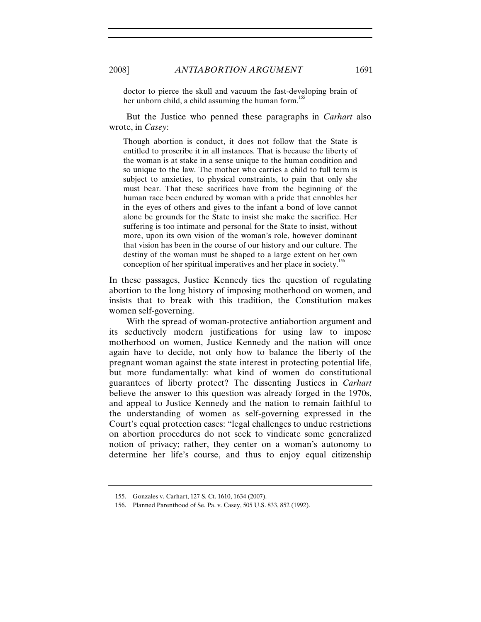doctor to pierce the skull and vacuum the fast-developing brain of her unborn child, a child assuming the human form.<sup>155</sup>

But the Justice who penned these paragraphs in *Carhart* also wrote, in *Casey*:

Though abortion is conduct, it does not follow that the State is entitled to proscribe it in all instances. That is because the liberty of the woman is at stake in a sense unique to the human condition and so unique to the law. The mother who carries a child to full term is subject to anxieties, to physical constraints, to pain that only she must bear. That these sacrifices have from the beginning of the human race been endured by woman with a pride that ennobles her in the eyes of others and gives to the infant a bond of love cannot alone be grounds for the State to insist she make the sacrifice. Her suffering is too intimate and personal for the State to insist, without more, upon its own vision of the woman's role, however dominant that vision has been in the course of our history and our culture. The destiny of the woman must be shaped to a large extent on her own conception of her spiritual imperatives and her place in society.<sup>15</sup>

In these passages, Justice Kennedy ties the question of regulating abortion to the long history of imposing motherhood on women, and insists that to break with this tradition, the Constitution makes women self-governing.

With the spread of woman-protective antiabortion argument and its seductively modern justifications for using law to impose motherhood on women, Justice Kennedy and the nation will once again have to decide, not only how to balance the liberty of the pregnant woman against the state interest in protecting potential life, but more fundamentally: what kind of women do constitutional guarantees of liberty protect? The dissenting Justices in *Carhart* believe the answer to this question was already forged in the 1970s, and appeal to Justice Kennedy and the nation to remain faithful to the understanding of women as self-governing expressed in the Court's equal protection cases: "legal challenges to undue restrictions on abortion procedures do not seek to vindicate some generalized notion of privacy; rather, they center on a woman's autonomy to determine her life's course, and thus to enjoy equal citizenship

 <sup>155.</sup> Gonzales v. Carhart, 127 S. Ct. 1610, 1634 (2007).

 <sup>156.</sup> Planned Parenthood of Se. Pa. v. Casey, 505 U.S. 833, 852 (1992).